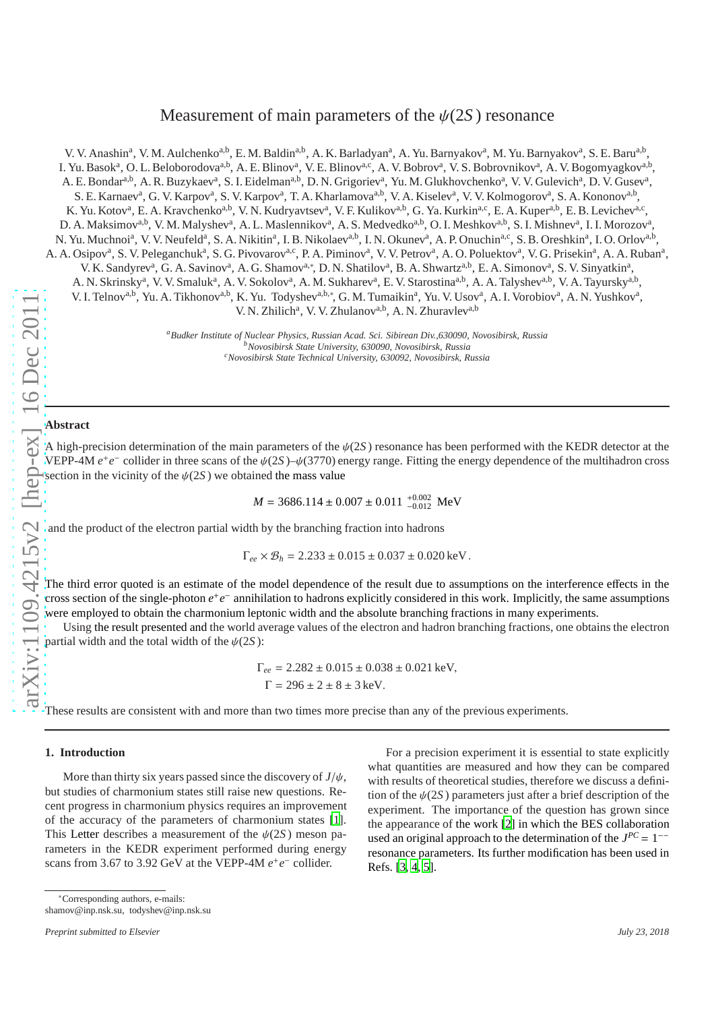# Measurement of main parameters of the  $\psi(2S)$  resonance

V. V. Anashin<sup>a</sup>, V. M. Aulchenko<sup>a,b</sup>, E. M. Baldin<sup>a,b</sup>, A. K. Barladyan<sup>a</sup>, A. Yu. Barnyakov<sup>a</sup>, M. Yu. Barnyakov<sup>a</sup>, S. E. Baru<sup>a,b</sup>, I. Yu. Basok<sup>a</sup>, O. L. Beloborodova<sup>a,b</sup>, A. E. Blinov<sup>a</sup>, V. E. Blinov<sup>a,c</sup>, A. V. Bobrov<sup>a</sup>, V. S. Bobrovnikov<sup>a</sup>, A. V. Bogomyagkov<sup>a,b</sup>, A. E. Bondar<sup>a,b</sup>, A. R. Buzykaev<sup>a</sup>, S. I. Eidelman<sup>a,b</sup>, D. N. Grigoriev<sup>a</sup>, Yu. M. Glukhovchenko<sup>a</sup>, V. V. Gulevich<sup>a</sup>, D. V. Gusev<sup>a</sup>, S. E. Karnaev<sup>a</sup>, G. V. Karpov<sup>a</sup>, S. V. Karpov<sup>a</sup>, T. A. Kharlamova<sup>a,b</sup>, V. A. Kiselev<sup>a</sup>, V. V. Kolmogorov<sup>a</sup>, S. A. Kononov<sup>a,b</sup>, K. Yu. Kotov<sup>a</sup>, E. A. Kravchenko<sup>a,b</sup>, V. N. Kudryavtsev<sup>a</sup>, V. F. Kulikov<sup>a,b</sup>, G. Ya. Kurkin<sup>a,c</sup>, E. A. Kuper<sup>a,b</sup>, E. B. Levichev<sup>a,c</sup>, D. A. Maksimov<sup>a,b</sup>, V. M. Malyshev<sup>a</sup>, A. L. Maslennikov<sup>a</sup>, A. S. Medvedko<sup>a,b</sup>, O. I. Meshkov<sup>a,b</sup>, S. I. Mishnev<sup>a</sup>, I. I. Morozov<sup>a</sup>, N. Yu. Muchnoi<sup>a</sup>, V. V. Neufeld<sup>a</sup>, S. A. Nikitin<sup>a</sup>, I. B. Nikolaev<sup>a,b</sup>, I. N. Okunev<sup>a</sup>, A. P. Onuchin<sup>a,c</sup>, S. B. Oreshkin<sup>a</sup>, I. O. Orlov<sup>a,b</sup>, A. A. Osipov<sup>a</sup>, S. V. Peleganchuk<sup>a</sup>, S. G. Pivovarov<sup>a,c</sup>, P. A. Piminov<sup>a</sup>, V. V. Petrov<sup>a</sup>, A. O. Poluektov<sup>a</sup>, V. G. Prisekin<sup>a</sup>, A. A. Ruban<sup>a</sup>, V. K. Sandyrev<sup>a</sup>, G. A. Savinov<sup>a</sup>, A. G. Shamov<sup>a,\*</sup>, D. N. Shatilov<sup>a</sup>, B. A. Shwartz<sup>a,b</sup>, E. A. Simonov<sup>a</sup>, S. V. Sinyatkin<sup>a</sup>, A. N. Skrinsky<sup>a</sup>, V. V. Smaluk<sup>a</sup>, A. V. Sokolov<sup>a</sup>, A. M. Sukharev<sup>a</sup>, E. V. Starostina<sup>a,b</sup>, A. A. Talyshev<sup>a,b</sup>, V. A. Tayursky<sup>a,b</sup>, V. I. Telnov<sup>a,b</sup>, Yu. A. Tikhonov<sup>a,b</sup>, K. Yu. Todyshev<sup>a,b,\*</sup>, G. M. Tumaikin<sup>a</sup>, Yu. V. Usov<sup>a</sup>, A. I. Vorobiov<sup>a</sup>, A. N. Yushkov<sup>a</sup>, V. N. Zhilich<sup>a</sup>, V. V. Zhulanov<sup>a,b</sup>, A. N. Zhuravlev<sup>a,b</sup>

> *<sup>a</sup>Budker Institute of Nuclear Physics, Russian Acad. Sci. Sibirean Div.,630090, Novosibirsk, Russia <sup>b</sup>Novosibirsk State University, 630090, Novosibirsk, Russia <sup>c</sup>Novosibirsk State Technical University, 630092, Novosibirsk, Russia*

### **Abstract**

A high-precision determination of the main parameters of the  $\psi(2S)$  resonance has been performed with the KEDR detector at the VEPP-4M  $e^+e^-$  collider in three scans of the  $\psi(2S) - \psi(3770)$  energy range. Fitting the energy dependence of the multihadron cross section in the vicinity of the  $\psi(2S)$  we obtained the mass value

> $M = 3686.114 \pm 0.007 \pm 0.011 \atop -0.012$  $^{+0.002}_{-0.012}$  MeV

and the product of the electron partial width by the branching fraction into hadrons

$$
\Gamma_{ee} \times \mathcal{B}_h = 2.233 \pm 0.015 \pm 0.037 \pm 0.020 \,\text{keV}
$$
.

The third error quoted is an estimate of the model dependence of the result due to assumptions on the interference e ffects in the cross section of the single-photon *e* + *e* − annihilation to hadrons explicitly considered in this work. Implicitly, the same assumptions were employed to obtain the charmonium leptonic width and the absolute branching fractions in many experiments.

Using the result presented and the world average values of the electron and hadron branching fractions, one obtains the electron partial width and the total width of the  $\psi(2S)$ :

$$
\Gamma_{ee} = 2.282 \pm 0.015 \pm 0.038 \pm 0.021 \text{ keV},
$$
  
 
$$
\Gamma = 296 \pm 2 \pm 8 \pm 3 \text{ keV}.
$$

These results are consistent with and more than two times more precise than any of the previous experiments.

#### **1. Introduction**

More than thirty six years passed since the discovery of *J*/ψ , but studies of charmonium states still raise new questions. Recent progress in charmonium physics requires an improvement of the accuracy of the parameters of charmonium states [\[1\]](#page-12-0). This Letter describes a measurement of the  $\psi(2S)$  meson parameters in the KEDR experiment performed during energy scans from 3.67 to 3.92 GeV at the VEPP-4M  $e^+e^-$  collider.

For a precision experiment it is essential to state explicitly what quantities are measured and how they can be compared with results of theoretical studies, therefore we discuss a definition of the  $\psi(2S)$  parameters just after a brief description of the experiment. The importance of the question has grown since the appearance of the work [\[2](#page-12-1)] in which the BES collaboration used an original approach to the determination of the  $J^{PC} = 1^{-1}$ resonance parameters. Its further modification has been used in Refs. [\[3](#page-12-2), [4](#page-12-3), [5](#page-12-4)].

∗Corresponding authors, e-mails: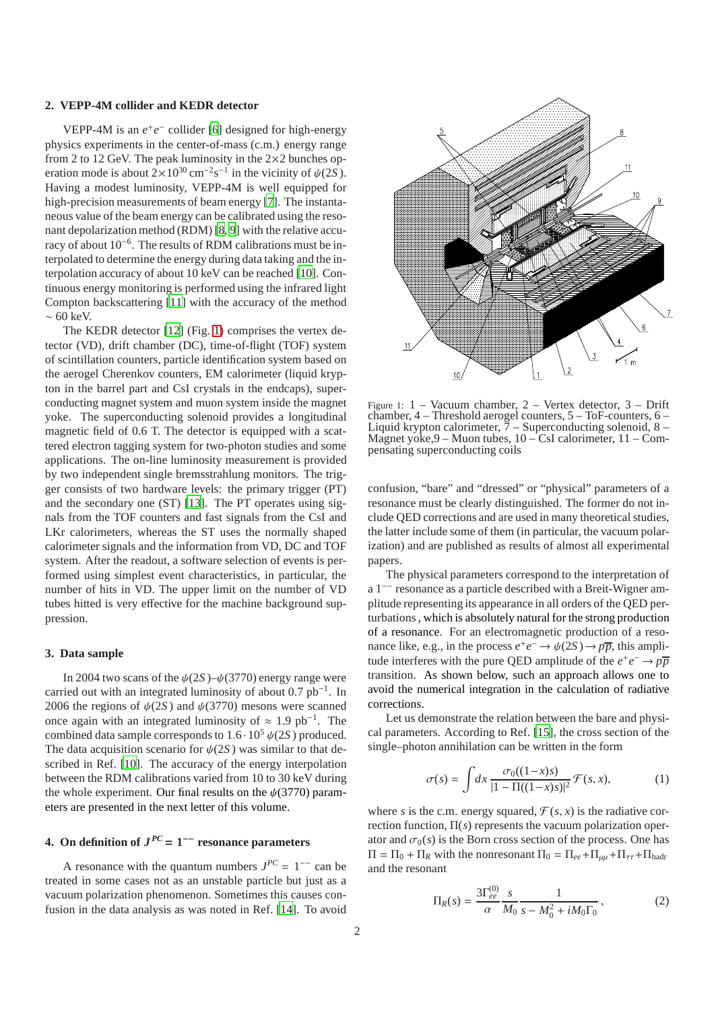#### <span id="page-1-3"></span>**2. VEPP-4M collider and KEDR detector**

VEPP-4M is an  $e^+e^-$  collider [\[6\]](#page-12-5) designed for high-energy physics experiments in the center-of-mass (c.m.) energy range from 2 to 12 GeV. The peak luminosity in the  $2\times 2$  bunches operation mode is about  $2 \times 10^{30} \text{ cm}^{-2} \text{s}^{-1}$  in the vicinity of  $\psi(2S)$ . Having a modest luminosity, VEPP-4M is well equipped for high-precision measurements of beam energy [\[7](#page-12-6)]. The instantaneous value of the beam energy can be calibrated using the resonant depolarization method (RDM) [\[8](#page-12-7), [9\]](#page-12-8) with the relative accuracy of about 10−<sup>6</sup> . The results of RDM calibrations must be interpolated to determine the energy during data taking and the interpolation accuracy of about 10 keV can be reached [\[10\]](#page-12-9). Continuous energy monitoring is performed using the infrared light Compton backscattering [\[11\]](#page-12-10) with the accuracy of the method  $~\sim 60~{\rm keV}$ 

The KEDR detector [\[12\]](#page-12-11) (Fig. [1\)](#page-1-0) comprises the vertex detector (VD), drift chamber (DC), time-of-flight (TOF) system of scintillation counters, particle identification system based on the aerogel Cherenkov counters, EM calorimeter (liquid krypton in the barrel part and CsI crystals in the endcaps), superconducting magnet system and muon system inside the magnet yoke. The superconducting solenoid provides a longitudinal magnetic field of 0.6 T. The detector is equipped with a scattered electron tagging system for two-photon studies and some applications. The on-line luminosity measurement is provided by two independent single bremsstrahlung monitors. The trigger consists of two hardware levels: the primary trigger (PT) and the secondary one (ST) [\[13](#page-12-12)]. The PT operates using signals from the TOF counters and fast signals from the CsI and LKr calorimeters, whereas the ST uses the normally shaped calorimeter signals and the information from VD, DC and TOF system. After the readout, a software selection of events is performed using simplest event characteristics, in particular, the number of hits in VD. The upper limit on the number of VD tubes hitted is very effective for the machine background suppression.

### **3. Data sample**

In 2004 two scans of the  $\psi(2S)$ – $\psi(3770)$  energy range were carried out with an integrated luminosity of about  $0.7$   $pb^{-1}$ . In 2006 the regions of  $\psi(2S)$  and  $\psi(3770)$  mesons were scanned once again with an integrated luminosity of  $\approx 1.9 \text{ pb}^{-1}$ . The combined data sample corresponds to  $1.6 \cdot 10^5 \psi(2S)$  produced. The data acquisition scenario for  $\psi(2S)$  was similar to that described in Ref. [\[10\]](#page-12-9). The accuracy of the energy interpolation between the RDM calibrations varied from 10 to 30 keV during the whole experiment. Our final results on the  $\psi(3770)$  parameters are presented in the next letter of this volume.

## <span id="page-1-4"></span>**4.** On definition of  $J^{PC} = 1^{-1}$  resonance parameters

A resonance with the quantum numbers  $J^{PC} = 1^{-1}$  can be treated in some cases not as an unstable particle but just as a vacuum polarization phenomenon. Sometimes this causes confusion in the data analysis as was noted in Ref. [\[14\]](#page-12-13). To avoid



<span id="page-1-0"></span>Figure 1: 1 – Vacuum chamber, 2 – Vertex detector, 3 – Drift chamber, 4 – Threshold aerogel counters, 5 – ToF-counters, 6 – Liquid krypton calorimeter,  $\frac{7}{7}$  – Superconducting solenoid, 8 – Magnet yoke,9 – Muon tubes, 10 – CsI calorimeter, 11 – Compensating superconducting coils

confusion, "bare" and "dressed" or "physical" parameters of a resonance must be clearly distinguished. The former do not include QED corrections and are used in many theoretical studies, the latter include some of them (in particular, the vacuum polarization) and are published as results of almost all experimental papers.

The physical parameters correspond to the interpretation of a 1−− resonance as a particle described with a Breit-Wigner amplitude representing its appearance in all orders of the QED perturbations, which is absolutely natural for the strong production of a resonance. For an electromagnetic production of a resonance like, e.g., in the process  $e^+e^- \rightarrow \psi(2S) \rightarrow p\overline{p}$ , this amplitude interferes with the pure QED amplitude of the  $e^+e^- \rightarrow p\overline{p}$ transition. As shown below, such an approach allows one to avoid the numerical integration in the calculation of radiative corrections.

Let us demonstrate the relation between the bare and physical parameters. According to Ref. [\[15\]](#page-12-14), the cross section of the single–photon annihilation can be written in the form

<span id="page-1-2"></span>
$$
\sigma(s) = \int dx \frac{\sigma_0((1-x)s)}{|1 - \Pi((1-x)s)|^2} \mathcal{F}(s, x), \tag{1}
$$

where *s* is the c.m. energy squared,  $\mathcal{F}(s, x)$  is the radiative correction function, Π(*s*) represents the vacuum polarization operator and  $\sigma_0(s)$  is the Born cross section of the process. One has  $\Pi = \Pi_0 + \Pi_R$  with the nonresonant  $\Pi_0 = \Pi_{ee} + \Pi_{\mu\mu} + \Pi_{\tau\tau} + \Pi_{\text{hadr}}$ and the resonant

<span id="page-1-1"></span>
$$
\Pi_R(s) = \frac{3\Gamma_{ee}^{(0)}}{\alpha} \frac{s}{M_0} \frac{1}{s - M_0^2 + iM_0\Gamma_0},\tag{2}
$$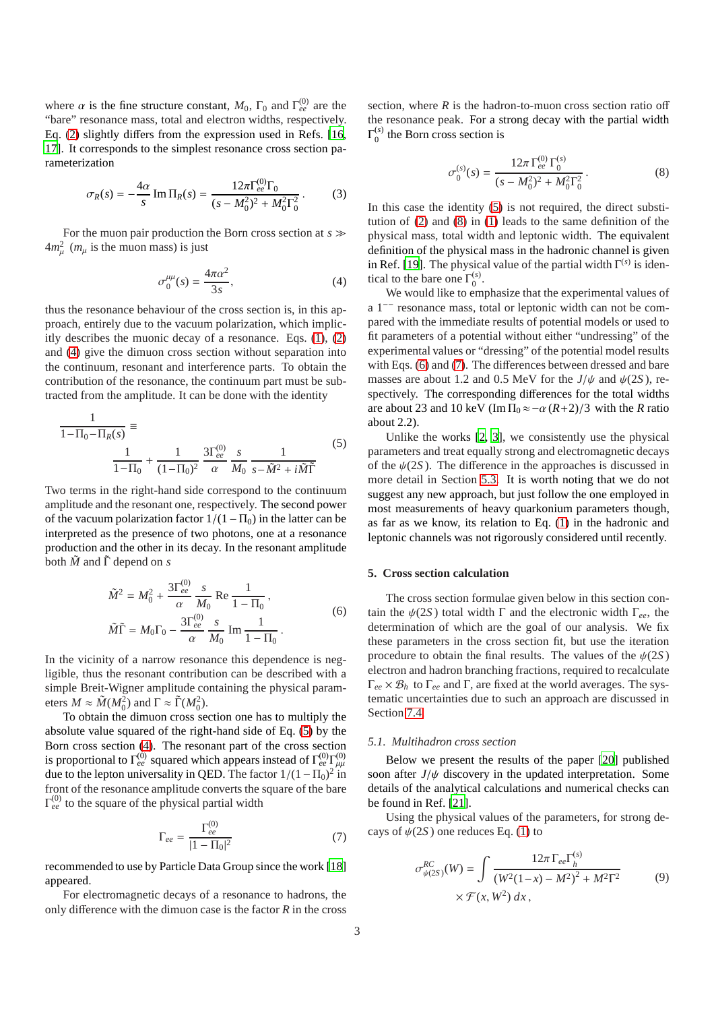where  $\alpha$  is the fine structure constant,  $M_0$ ,  $\Gamma_0$  and  $\Gamma_{ee}^{(0)}$  are the "bare" resonance mass, total and electron widths, respectively. Eq. [\(2\)](#page-1-1) slightly differs from the expression used in Refs. [\[16](#page-12-15), [17\]](#page-12-16). It corresponds to the simplest resonance cross section parameterization

$$
\sigma_R(s) = -\frac{4\alpha}{s} \operatorname{Im} \Pi_R(s) = \frac{12\pi \Gamma_{ee}^{(0)} \Gamma_0}{(s - M_0^2)^2 + M_0^2 \Gamma_0^2}.
$$
 (3)

For the muon pair production the Born cross section at *s* ≫  $4m_{\mu}^2$  ( $m_{\mu}$  is the muon mass) is just

<span id="page-2-0"></span>
$$
\sigma_0^{\mu\mu}(s) = \frac{4\pi\alpha^2}{3s},\tag{4}
$$

thus the resonance behaviour of the cross section is, in this approach, entirely due to the vacuum polarization, which implicitly describes the muonic decay of a resonance. Eqs. [\(1\)](#page-1-2), [\(2\)](#page-1-1) and [\(4\)](#page-2-0) give the dimuon cross section without separation into the continuum, resonant and interference parts. To obtain the contribution of the resonance, the continuum part must be subtracted from the amplitude. It can be done with the identity

<span id="page-2-1"></span>
$$
\frac{1}{1 - \Pi_0 - \Pi_R(s)} \equiv \frac{1}{1 - \Pi_0} + \frac{1}{(1 - \Pi_0)^2} \frac{3\Gamma_{ee}^{(0)}}{\alpha} \frac{s}{M_0} \frac{1}{s - \tilde{M}^2 + i\tilde{M}\tilde{\Gamma}}
$$
(5)

Two terms in the right-hand side correspond to the continuum amplitude and the resonant one, respectively. The second power of the vacuum polarization factor  $1/(1 - \Pi_0)$  in the latter can be interpreted as the presence of two photons, one at a resonance production and the other in its decay. In the resonant amplitude both  $\tilde{M}$  and  $\tilde{\Gamma}$  depend on *s* 

$$
\tilde{M}^{2} = M_{0}^{2} + \frac{3\Gamma_{ee}^{(0)}}{\alpha} \frac{s}{M_{0}} \text{ Re } \frac{1}{1 - \Pi_{0}},
$$
  

$$
\tilde{M}\tilde{\Gamma} = M_{0}\Gamma_{0} - \frac{3\Gamma_{ee}^{(0)}}{\alpha} \frac{s}{M_{0}} \text{ Im } \frac{1}{1 - \Pi_{0}}.
$$
 (6)

<span id="page-2-3"></span>In the vicinity of a narrow resonance this dependence is negligible, thus the resonant contribution can be described with a simple Breit-Wigner amplitude containing the physical parameters  $M \approx \tilde{M}(M_0^2)$  and  $\Gamma \approx \tilde{\Gamma}(M_0^2)$ .

To obtain the dimuon cross section one has to multiply the absolute value squared of the right-hand side of Eq. [\(5\)](#page-2-1) by the Born cross section [\(4\)](#page-2-0). The resonant part of the cross section is proportional to  $\Gamma_{ee}^{(0)}$  squared which appears instead of  $\Gamma_{ee}^{(0)}\Gamma_{\mu\mu}^{(0)}$ due to the lepton universality in QED. The factor  $1/(1 - \Pi_0)^2$  in front of the resonance amplitude converts the square of the bare  $\Gamma_{ee}^{(0)}$  to the square of the physical partial width

<span id="page-2-4"></span>
$$
\Gamma_{ee} = \frac{\Gamma_{ee}^{(0)}}{|1 - \Pi_0|^2} \tag{7}
$$

recommended to use by Particle Data Group since the work [\[18](#page-12-17)] appeared.

For electromagnetic decays of a resonance to hadrons, the only difference with the dimuon case is the factor *R* in the cross

section, where  $R$  is the hadron-to-muon cross section ratio off the resonance peak. For a strong decay with the partial width  $\Gamma_0^{(s)}$  $_0^{(s)}$  the Born cross section is

<span id="page-2-2"></span>
$$
\sigma_0^{(s)}(s) = \frac{12\pi \Gamma_{ee}^{(0)} \Gamma_0^{(s)}}{(s - M_0^2)^2 + M_0^2 \Gamma_0^2}.
$$
\n(8)

In this case the identity [\(5\)](#page-2-1) is not required, the direct substitution of [\(2\)](#page-1-1) and [\(8\)](#page-2-2) in [\(1\)](#page-1-2) leads to the same definition of the physical mass, total width and leptonic width. The equivalent definition of the physical mass in the hadronic channel is given in Ref. [\[19](#page-12-18)]. The physical value of the partial width  $\Gamma^{(s)}$  is identical to the bare one  $\Gamma_0^{(s)}$  $\frac{1}{0}$ .

We would like to emphasize that the experimental values of a 1−− resonance mass, total or leptonic width can not be compared with the immediate results of potential models or used to fit parameters of a potential without either "undressing" of the experimental values or "dressing" of the potential model results with Eqs. [\(6\)](#page-2-3) and [\(7\)](#page-2-4). The differences between dressed and bare masses are about 1.2 and 0.5 MeV for the  $J/\psi$  and  $\psi$ (2*S*), respectively. The corresponding differences for the total widths are about 23 and 10 keV (Im  $\Pi_0 \approx -\alpha (R+2)/3$  with the *R* ratio about 2.2).

Unlike the works [\[2](#page-12-1), [3](#page-12-2)], we consistently use the physical parameters and treat equally strong and electromagnetic decays of the  $\psi(2S)$ . The difference in the approaches is discussed in more detail in Section [5.3.](#page-4-0) It is worth noting that we do not suggest any new approach, but just follow the one employed in most measurements of heavy quarkonium parameters though, as far as we know, its relation to Eq. [\(1\)](#page-1-2) in the hadronic and leptonic channels was not rigorously considered until recently.

### <span id="page-2-5"></span>**5. Cross section calculation**

The cross section formulae given below in this section contain the ψ(2*S* ) total width Γ and the electronic width Γ*ee*, the determination of which are the goal of our analysis. We fix these parameters in the cross section fit, but use the iteration procedure to obtain the final results. The values of the  $\psi(2S)$ electron and hadron branching fractions, required to recalculate Γ*ee* × B*<sup>h</sup>* to Γ*ee* and Γ, are fixed at the world averages. The systematic uncertainties due to such an approach are discussed in Section [7.4.](#page-10-0)

### *5.1. Multihadron cross section*

Below we present the results of the paper [\[20\]](#page-12-19) published soon after  $J/\psi$  discovery in the updated interpretation. Some details of the analytical calculations and numerical checks can be found in Ref. [\[21](#page-12-20)].

Using the physical values of the parameters, for strong decays of  $\psi(2S)$  one reduces Eq. [\(1\)](#page-1-2) to

$$
\sigma_{\psi(2S)}^{RC}(W) = \int \frac{12\pi \,\Gamma_{ee} \Gamma_h^{(s)}}{(W^2(1-x) - M^2)^2 + M^2 \Gamma^2} \qquad (9)
$$

$$
\times \mathcal{F}(x, W^2) \, dx \,,
$$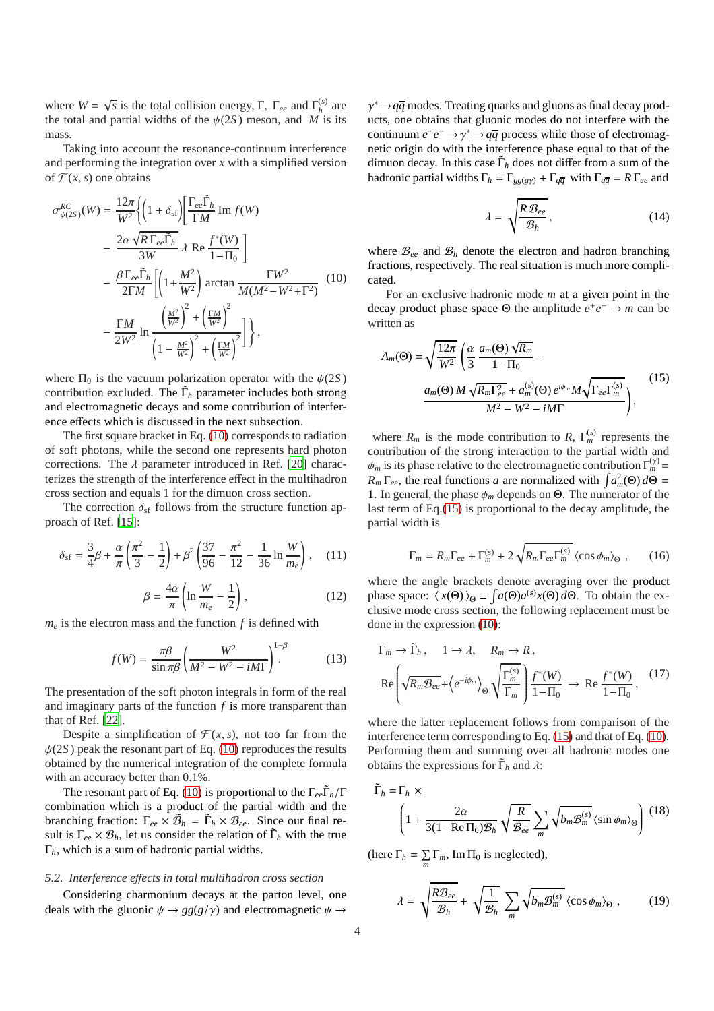where  $W = \sqrt{s}$  is the total collision energy, Γ, Γ<sub>ee</sub> and Γ<sup>(s)</sup>  $h^{(s)}$  are the total and partial widths of the  $\psi(2S)$  meson, and *M* is its mass.

Taking into account the resonance-continuum interference and performing the integration over *x* with a simplified version of  $\mathcal{F}(x, s)$  one obtains

<span id="page-3-0"></span>
$$
\sigma_{\psi(2S)}^{RC}(W) = \frac{12\pi}{W^2} \Biggl\{ \Biggl( 1 + \delta_{\rm sf} \Biggr) \Biggl[ \frac{\Gamma_{ee} \tilde{\Gamma}_h}{\Gamma M} \operatorname{Im} f(W) - \frac{2\alpha \sqrt{R \Gamma_{ee} \tilde{\Gamma}_h}}{3W} \lambda \operatorname{Re} \frac{f^*(W)}{1 - \Pi_0} \Biggr] - \frac{\beta \Gamma_{ee} \tilde{\Gamma}_h}{2\Gamma M} \Biggl[ \Biggl( 1 + \frac{M^2}{W^2} \Biggr) \arctan \frac{\Gamma W^2}{M(M^2 - W^2 + \Gamma^2)} - \frac{\Gamma M}{2W^2} \operatorname{ln} \frac{\left( \frac{M^2}{W^2} \right)^2 + \left( \frac{\Gamma M}{W^2} \right)^2}{\left( 1 - \frac{M^2}{W^2} \right)^2 + \left( \frac{\Gamma M}{W^2} \right)^2} \Biggr] \Biggr\},
$$
\n(10)

where  $\Pi_0$  is the vacuum polarization operator with the  $\psi(2S)$ contribution excluded. The  $\tilde{\Gamma}_h$  parameter includes both strong and electromagnetic decays and some contribution of interference effects which is discussed in the next subsection.

The first square bracket in Eq. [\(10\)](#page-3-0) corresponds to radiation of soft photons, while the second one represents hard photon corrections. The  $\lambda$  parameter introduced in Ref. [\[20\]](#page-12-19) characterizes the strength of the interference effect in the multihadron cross section and equals 1 for the dimuon cross section.

The correction  $\delta_{\rm sf}$  follows from the structure function approach of Ref. [\[15\]](#page-12-14):

$$
\delta_{\rm sf} = \frac{3}{4}\beta + \frac{\alpha}{\pi} \left(\frac{\pi^2}{3} - \frac{1}{2}\right) + \beta^2 \left(\frac{37}{96} - \frac{\pi^2}{12} - \frac{1}{36} \ln \frac{W}{m_e}\right), \quad (11)
$$

<span id="page-3-4"></span>
$$
\beta = \frac{4\alpha}{\pi} \left( \ln \frac{W}{m_e} - \frac{1}{2} \right),\tag{12}
$$

 $m_e$  is the electron mass and the function  $f$  is defined with

<span id="page-3-5"></span>
$$
f(W) = \frac{\pi \beta}{\sin \pi \beta} \left( \frac{W^2}{M^2 - W^2 - iM\Gamma} \right)^{1-\beta}.
$$
 (13)

The presentation of the soft photon integrals in form of the real and imaginary parts of the function *f* is more transparent than that of Ref. [\[22\]](#page-12-21).

Despite a simplification of  $\mathcal{F}(x, s)$ , not too far from the  $\psi(2S)$  peak the resonant part of Eq. [\(10\)](#page-3-0) reproduces the results obtained by the numerical integration of the complete formula with an accuracy better than 0.1%.

The resonant part of Eq. [\(10\)](#page-3-0) is proportional to the Γ*ee*Γ˜ *<sup>h</sup>*/Γ combination which is a product of the partial width and the branching fraction:  $\Gamma_{ee} \times \tilde{\mathcal{B}}_h = \tilde{\Gamma}_h \times \mathcal{B}_{ee}$ . Since our final result is  $\Gamma_{ee} \times \mathcal{B}_h$ , let us consider the relation of  $\tilde{\Gamma}_h$  with the true Γ*h*, which is a sum of hadronic partial widths.

#### <span id="page-3-6"></span>*5.2. Interference e*ff*ects in total multihadron cross section*

Considering charmonium decays at the parton level, one deals with the gluonic  $\psi \rightarrow gg(g/\gamma)$  and electromagnetic  $\psi \rightarrow$ 

 $\gamma^* \rightarrow q\overline{q}$  modes. Treating quarks and gluons as final decay products, one obtains that gluonic modes do not interfere with the continuum  $e^+e^- \rightarrow \gamma^* \rightarrow q\overline{q}$  process while those of electromagnetic origin do with the interference phase equal to that of the dimuon decay. In this case  $\tilde{\Gamma}_h$  does not differ from a sum of the hadronic partial widths  $\Gamma_h = \Gamma_{gg(gy)} + \Gamma_{q\overline{q}}$  with  $\Gamma_{q\overline{q}} = R \Gamma_{ee}$  and

<span id="page-3-7"></span>
$$
\lambda = \sqrt{\frac{R \mathcal{B}_{ee}}{\mathcal{B}_h}},\tag{14}
$$

where  $\mathcal{B}_{ee}$  and  $\mathcal{B}_h$  denote the electron and hadron branching fractions, respectively. The real situation is much more complicated.

For an exclusive hadronic mode *m* at a given point in the decay product phase space  $\Theta$  the amplitude  $e^+e^- \to m$  can be written as

<span id="page-3-1"></span>
$$
A_m(\Theta) = \sqrt{\frac{12\pi}{W^2}} \left( \frac{\alpha}{3} \frac{a_m(\Theta) \sqrt{R_m}}{1 - \Pi_0} - \frac{a_m(\Theta) M \sqrt{R_m \Gamma_{ee}^2 + a_m^{(s)}(\Theta) e^{i\phi_m} M \sqrt{\Gamma_{ee} \Gamma_m^{(s)}}}}{M^2 - W^2 - iM\Gamma} \right),
$$
(15)

where  $R_m$  is the mode contribution to  $R$ ,  $\Gamma_m^{(s)}$  represents the contribution of the strong interaction to the partial width and  $\phi_m$  is its phase relative to the electromagnetic contribution  $\Gamma_m^{(\gamma)}$  =  $R_m \Gamma_{ee}$ , the real functions *a* are normalized with  $\int a_m^2(\Theta) d\Theta$  = 1. In general, the phase  $\phi_m$  depends on  $\Theta$ . The numerator of the last term of Eq.[\(15\)](#page-3-1) is proportional to the decay amplitude, the partial width is

$$
\Gamma_m = R_m \Gamma_{ee} + \Gamma_m^{(s)} + 2 \sqrt{R_m \Gamma_{ee} \Gamma_m^{(s)}} \langle \cos \phi_m \rangle_{\Theta} , \qquad (16)
$$

where the angle brackets denote averaging over the product phase space:  $\langle x(\Theta) \rangle_{\Theta} \equiv \int a(\Theta) a^{(s)} x(\Theta) d\Theta$ . To obtain the exclusive mode cross section, the following replacement must be done in the expression [\(10\)](#page-3-0):

$$
\Gamma_m \to \tilde{\Gamma}_h, \quad 1 \to \lambda, \quad R_m \to R,
$$
  
\n
$$
Re \left( \sqrt{R_m \mathcal{B}_{ee}} + \left\langle e^{-i\phi_m} \right\rangle_{\Theta} \sqrt{\frac{\Gamma_m^{(s)}}{\Gamma_m}} \right) \frac{f^*(W)}{1 - \Pi_0} \to Re \frac{f^*(W)}{1 - \Pi_0}, \quad (17)
$$

where the latter replacement follows from comparison of the interference term corresponding to Eq. [\(15\)](#page-3-1) and that of Eq. [\(10\)](#page-3-0). Performing them and summing over all hadronic modes one obtains the expressions for  $\tilde{\Gamma}_h$  and  $\lambda$ :

<span id="page-3-2"></span>
$$
\tilde{\Gamma}_h = \Gamma_h \times \left( 1 + \frac{2\alpha}{3(1 - \text{Re}\,\Pi_0)\mathcal{B}_h} \sqrt{\frac{R}{\mathcal{B}_{ee}}} \sum_m \sqrt{b_m \mathcal{B}_m^{(s)}} \langle \sin \phi_m \rangle_{\Theta} \right) (18)
$$

(here  $\Gamma_h = \sum_m \Gamma_m$ , Im  $\Pi_0$  is neglected),

<span id="page-3-3"></span>
$$
\lambda = \sqrt{\frac{R\mathcal{B}_{ee}}{\mathcal{B}_h}} + \sqrt{\frac{1}{\mathcal{B}_h}} \sum_m \sqrt{b_m \mathcal{B}_m^{(s)}} \langle \cos \phi_m \rangle_{\Theta} , \qquad (19)
$$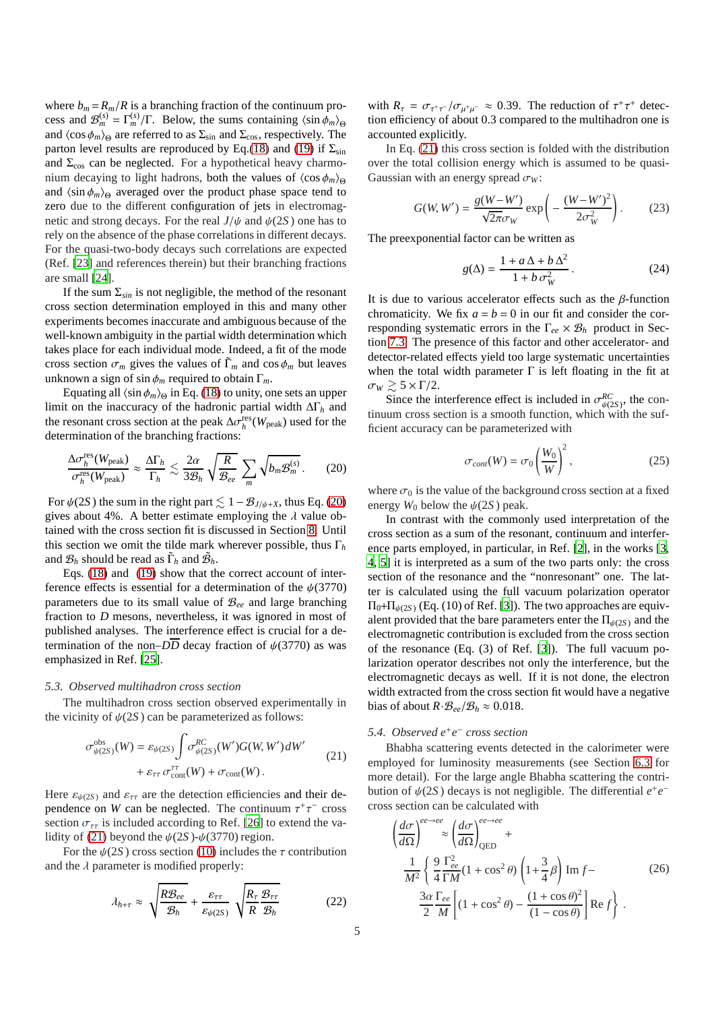where  $b_m = R_m/R$  is a branching fraction of the continuum process and  $\mathcal{B}_m^{(s)} = \Gamma_m^{(s)} / \Gamma$ . Below, the sums containing  $\langle \sin \phi_m \rangle_{\Theta}$ and  $\langle \cos \phi_m \rangle_\Theta$  are referred to as  $\Sigma_{\rm sin}$  and  $\Sigma_{\rm cos}$ , respectively. The parton level results are reproduced by Eq.[\(18\)](#page-3-2) and [\(19\)](#page-3-3) if  $\Sigma_{\rm sin}$ and  $\Sigma_{\text{cos}}$  can be neglected. For a hypothetical heavy charmonium decaying to light hadrons, both the values of  $\langle \cos \phi_m \rangle_\Theta$ and  $\langle \sin \phi_m \rangle_\Theta$  averaged over the product phase space tend to zero due to the different configuration of jets in electromagnetic and strong decays. For the real  $J/\psi$  and  $\psi(2S)$  one has to rely on the absence of the phase correlations in different decays. For the quasi-two-body decays such correlations are expected (Ref. [\[23\]](#page-12-22) and references therein) but their branching fractions are small [\[24\]](#page-12-23).

If the sum  $\Sigma_{sin}$  is not negligible, the method of the resonant cross section determination employed in this and many other experiments becomes inaccurate and ambiguous because of the well-known ambiguity in the partial width determination which takes place for each individual mode. Indeed, a fit of the mode cross section  $\sigma_m$  gives the values of  $\tilde{\Gamma}_m$  and cos  $\phi_m$  but leaves unknown a sign of sin  $\phi_m$  required to obtain  $\Gamma_m$ .

Equating all  $\langle \sin \phi_m \rangle_\Theta$  in Eq. [\(18\)](#page-3-2) to unity, one sets an upper limit on the inaccuracy of the hadronic partial width ∆Γ*<sup>h</sup>* and the resonant cross section at the peak Δ $\sigma_h^{\text{res}}(W_{\text{peak}})$  used for the determination of the branching fractions:

<span id="page-4-1"></span>
$$
\frac{\Delta \sigma_h^{\text{res}}(W_{\text{peak}})}{\sigma_h^{\text{res}}(W_{\text{peak}})} \approx \frac{\Delta \Gamma_h}{\Gamma_h} \lesssim \frac{2\alpha}{3\mathcal{B}_h} \sqrt{\frac{R}{\mathcal{B}_{ee}}} \sum_m \sqrt{b_m \mathcal{B}_m^{(s)}}.
$$
 (20)

For  $\psi(2S)$  the sum in the right part  $\lesssim 1 - \mathcal{B}_{J/\psi+X}$ , thus Eq. [\(20\)](#page-4-1) gives about 4%. A better estimate employing the  $\lambda$  value obtained with the cross section fit is discussed in Section [8.](#page-10-1) Until this section we omit the tilde mark wherever possible, thus Γ*<sup>h</sup>* and  $\mathcal{B}_h$  should be read as  $\tilde{\Gamma}_h$  and  $\tilde{\mathcal{B}}_h$ .

Eqs. [\(18\)](#page-3-2) and [\(19\)](#page-3-3) show that the correct account of interference effects is essential for a determination of the  $\psi$ (3770) parameters due to its small value of B*ee* and large branching fraction to *D* mesons, nevertheless, it was ignored in most of published analyses. The interference effect is crucial for a determination of the non– $D\overline{D}$  decay fraction of  $\psi(3770)$  as was emphasized in Ref. [\[25](#page-12-24)].

#### <span id="page-4-0"></span>*5.3. Observed multihadron cross section*

The multihadron cross section observed experimentally in the vicinity of  $\psi(2S)$  can be parameterized as follows:

$$
\sigma_{\psi(2S)}^{\text{obs}}(W) = \varepsilon_{\psi(2S)} \int \sigma_{\psi(2S)}^{RC}(W')G(W,W')dW' + \varepsilon_{\tau\tau} \sigma_{\text{cont}}^{\tau\tau}(W) + \sigma_{\text{cont}}(W)
$$
 (21)

<span id="page-4-2"></span>Here  $\varepsilon_{\psi(2S)}$  and  $\varepsilon_{\tau\tau}$  are the detection efficiencies and their dependence on *W* can be neglected. The continuum  $\tau^+\tau^-$  cross section  $\sigma_{\tau\tau}$  is included according to Ref. [\[26](#page-12-25)] to extend the va-lidity of [\(21\)](#page-4-2) beyond the  $\psi(2S)$ - $\psi(3770)$  region.

For the  $\psi(2S)$  cross section [\(10\)](#page-3-0) includes the  $\tau$  contribution and the  $\lambda$  parameter is modified properly:

<span id="page-4-4"></span>
$$
\lambda_{h+\tau} \approx \sqrt{\frac{R\mathcal{B}_{ee}}{\mathcal{B}_h}} + \frac{\varepsilon_{\tau\tau}}{\varepsilon_{\psi(2S)}} \sqrt{\frac{R_\tau \mathcal{B}_{\tau\tau}}{R \mathcal{B}_h}}
$$
(22)

with  $R_{\tau} = \sigma_{\tau^+\tau^-}/\sigma_{\mu^+\mu^-} \approx 0.39$ . The reduction of  $\tau^+\tau^+$  detection efficiency of about 0.3 compared to the multihadron one is accounted explicitly.

In Eq. [\(21\)](#page-4-2) this cross section is folded with the distribution over the total collision energy which is assumed to be quasi-Gaussian with an energy spread  $\sigma_W$ :

$$
G(W, W') = \frac{g(W - W')}{\sqrt{2\pi}\sigma_W} \exp\left(-\frac{(W - W')^2}{2\sigma_W^2}\right).
$$
 (23)

The preexponential factor can be written as

<span id="page-4-5"></span>
$$
g(\Delta) = \frac{1 + a\,\Delta + b\,\Delta^2}{1 + b\,\sigma_W^2} \,. \tag{24}
$$

It is due to various accelerator effects such as the  $\beta$ -function chromaticity. We fix  $a = b = 0$  in our fit and consider the corresponding systematic errors in the  $\Gamma_{ee} \times \mathcal{B}_h$  product in Section [7.3.](#page-10-2) The presence of this factor and other accelerator- and detector-related effects yield too large systematic uncertainties when the total width parameter  $\Gamma$  is left floating in the fit at  $\sigma_W \gtrsim 5 \times \Gamma/2$ .

Since the interference effect is included in  $\sigma_{\psi(2S)}^{RC}$ , the continuum cross section is a smooth function, which with the sufficient accuracy can be parameterized with

$$
\sigma_{cont}(W) = \sigma_0 \left(\frac{W_0}{W}\right)^2, \qquad (25)
$$

where  $\sigma_0$  is the value of the background cross section at a fixed energy  $W_0$  below the  $\psi(2S)$  peak.

In contrast with the commonly used interpretation of the cross section as a sum of the resonant, continuum and interference parts employed, in particular, in Ref. [\[2](#page-12-1)], in the works [\[3](#page-12-2), [4,](#page-12-3) [5](#page-12-4)] it is interpreted as a sum of the two parts only: the cross section of the resonance and the "nonresonant" one. The latter is calculated using the full vacuum polarization operator  $\Pi_0 + \Pi_{\psi(2S)}$  (Eq. (10) of Ref. [\[3\]](#page-12-2)). The two approaches are equivalent provided that the bare parameters enter the  $\Pi_{\psi(2S)}$  and the electromagnetic contribution is excluded from the cross section of the resonance (Eq. (3) of Ref. [\[3\]](#page-12-2)). The full vacuum polarization operator describes not only the interference, but the electromagnetic decays as well. If it is not done, the electron width extracted from the cross section fit would have a negative bias of about  $R \cdot \mathcal{B}_{ee}/\mathcal{B}_h \approx 0.018$ .

## *5.4. Observed e*<sup>+</sup> *e* − *cross section*

Bhabha scattering events detected in the calorimeter were employed for luminosity measurements (see Section [6.3](#page-6-0) for more detail). For the large angle Bhabha scattering the contribution of  $\psi(2S)$  decays is not negligible. The differential  $e^+e^$ cross section can be calculated with

<span id="page-4-3"></span>
$$
\left(\frac{d\sigma}{d\Omega}\right)^{ee \to ee} \approx \left(\frac{d\sigma}{d\Omega}\right)_{\text{QED}}^{ee \to ee} +
$$
  

$$
\frac{1}{M^2} \left\{\frac{9}{4} \frac{\Gamma_{ee}^2}{\Gamma M} (1 + \cos^2 \theta) \left(1 + \frac{3}{4} \beta\right) \text{Im } f - \frac{3\alpha}{2} \frac{\Gamma_{ee}}{M} \left[ (1 + \cos^2 \theta) - \frac{(1 + \cos \theta)^2}{(1 - \cos \theta)} \right] \text{Re } f \right\}.
$$
 (26)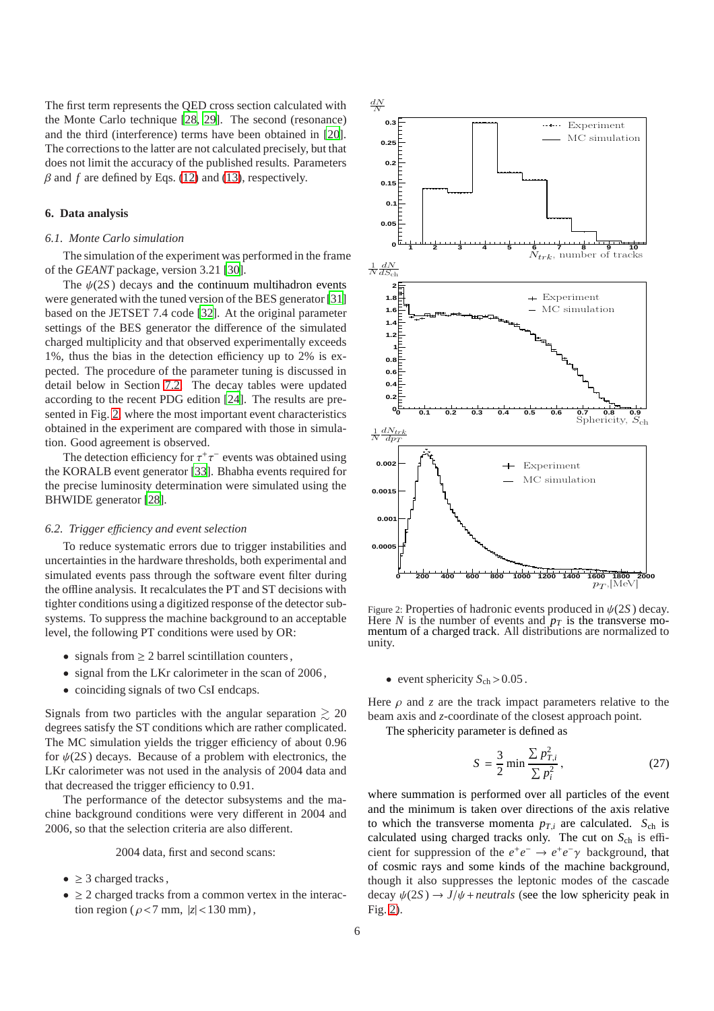The first term represents the QED cross section calculated with the Monte Carlo technique [\[28](#page-12-26), [29\]](#page-12-27). The second (resonance) and the third (interference) terms have been obtained in [\[20\]](#page-12-19). The corrections to the latter are not calculated precisely, but that does not limit the accuracy of the published results. Parameters  $\beta$  and  $f$  are defined by Eqs. [\(12\)](#page-3-4) and [\(13\)](#page-3-5), respectively.

## <span id="page-5-2"></span>**6. Data analysis**

#### *6.1. Monte Carlo simulation*

The simulation of the experiment was performed in the frame of the *GEANT* package, version 3.21 [\[30\]](#page-12-28).

The  $\psi(2S)$  decays and the continuum multihadron events were generated with the tuned version of the BES generator [\[31\]](#page-13-0) based on the JETSET 7.4 code [\[32\]](#page-13-1). At the original parameter settings of the BES generator the difference of the simulated charged multiplicity and that observed experimentally exceeds 1%, thus the bias in the detection efficiency up to 2% is expected. The procedure of the parameter tuning is discussed in detail below in Section [7.2.](#page-8-0) The decay tables were updated rements according to the recent PDG edition [\[24\]](#page-12-23). The results are presented in Fig. [2,](#page-5-0) where the most important event characteristics obtained in the experiment are compared with those in simulation. Good agreement is observed.

The detection efficiency for  $\tau^+\tau^-$  events was obtained using the KORALB event generator [\[33](#page-13-2)]. Bhabha events required for the precise luminosity determination were simulated using the BHWIDE generator [\[28](#page-12-26)].

#### <span id="page-5-1"></span>*6.2. Trigger e*ffi*ciency and event selection*

To reduce systematic errors due to trigger instabilities and cennents uncertainties in the hardware thresholds, both experimental and simulated events pass through the software event filter during the offline analysis. It recalculates the PT and ST decisions with tighter conditions using a digitized response of the detector subsystems. To suppress the machine background to an acceptable level, the following PT conditions were used by OR:

- signals from  $\geq 2$  barrel scintillation counters,
- signal from the LKr calorimeter in the scan of 2006,
- coinciding signals of two CsI endcaps.

Signals from two particles with the angular separation  $\geq 20$ degrees satisfy the ST conditions which are rather complicated. The MC simulation yields the trigger efficiency of about 0.96 for  $\psi(2S)$  decays. Because of a problem with electronics, the LKr calorimeter was not used in the analysis of 2004 data and that decreased the trigger efficiency to 0.91.

The performance of the detector subsystems and the machine background conditions were very different in 2004 and 2006, so that the selection criteria are also different.

2004 data, first and second scans:

- $\geq$  3 charged tracks.
- $\geq$  2 charged tracks from a common vertex in the interaction region ( $\rho$ <7 mm,  $|z|$  < 130 mm),



<span id="page-5-0"></span>Figure 2: Properties of hadronic events produced in  $\psi(2S)$  decay. Here *N* is the number of events and  $p_T$  is the transverse momentum of a charged track. All distributions are normalized to unity.

• event sphericity  $S_{ch} > 0.05$ .

Here  $\rho$  and  $z$  are the track impact parameters relative to the beam axis and *z*-coordinate of the closest approach point.

The sphericity parameter is defined as

$$
S = \frac{3}{2} \min \frac{\sum p_{T,i}^2}{\sum p_i^2},
$$
 (27)

where summation is performed over all particles of the event and the minimum is taken over directions of the axis relative to which the transverse momenta  $p_{T,i}$  are calculated.  $S_{ch}$  is calculated using charged tracks only. The cut on  $S_{ch}$  is efficient for suppression of the  $e^+e^- \rightarrow e^+e^- \gamma$  background, that of cosmic rays and some kinds of the machine background, though it also suppresses the leptonic modes of the cascade decay  $\psi(2S) \rightarrow J/\psi$  + *neutrals* (see the low sphericity peak in Fig. [2\)](#page-5-0).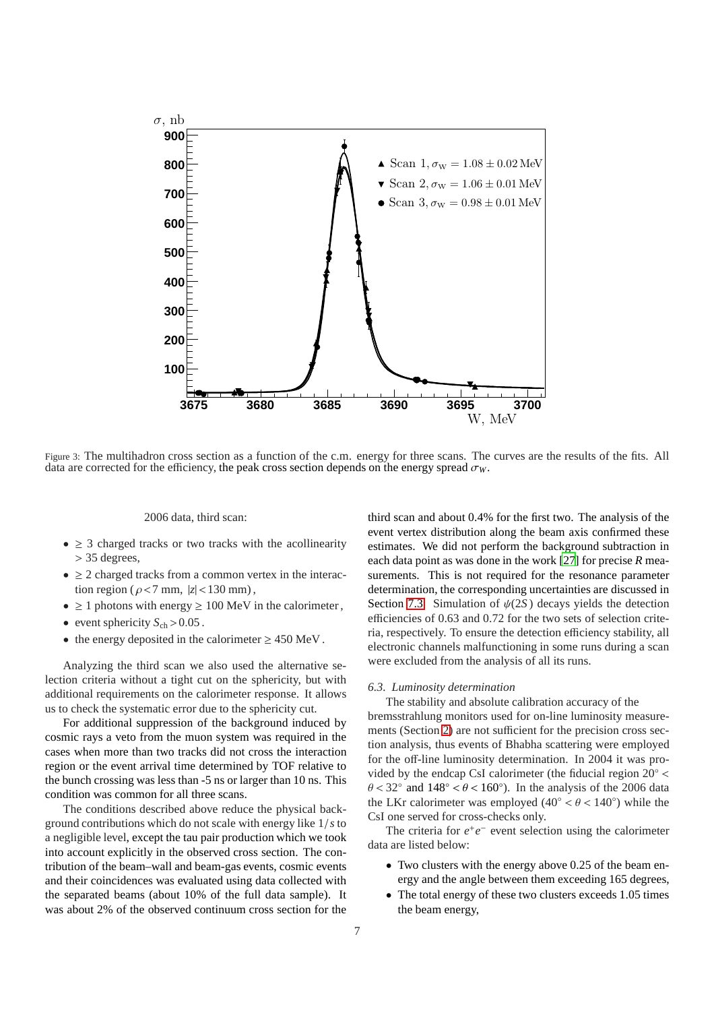

<span id="page-6-1"></span>Figure 3: The multihadron cross section as a function of the c.m. energy for three scans. The curves are the results of the fits. All data are corrected for the efficiency, the peak cross section depends on the energy spread  $\sigma_W$ .

### 2006 data, third scan:

- $\geq$  3 charged tracks or two tracks with the acollinearity > 35 degrees,
- $\geq$  2 charged tracks from a common vertex in the interaction region ( $\rho$ <7 mm,  $|z|$  < 130 mm),
- $\geq 1$  photons with energy  $\geq 100$  MeV in the calorimeter,
- event sphericity  $S_{ch}$  > 0.05.
- the energy deposited in the calorimeter  $\geq 450$  MeV.

Analyzing the third scan we also used the alternative selection criteria without a tight cut on the sphericity, but with additional requirements on the calorimeter response. It allows us to check the systematic error due to the sphericity cut.

For additional suppression of the background induced by cosmic rays a veto from the muon system was required in the cases when more than two tracks did not cross the interaction region or the event arrival time determined by TOF relative to the bunch crossing was less than -5 ns or larger than 10 ns. This condition was common for all three scans.

The conditions described above reduce the physical background contributions which do not scale with energy like 1/*s* to a negligible level, except the tau pair production which we took into account explicitly in the observed cross section. The contribution of the beam–wall and beam-gas events, cosmic events and their coincidences was evaluated using data collected with the separated beams (about 10% of the full data sample). It was about 2% of the observed continuum cross section for the

third scan and about 0.4% for the first two. The analysis of the event vertex distribution along the beam axis confirmed these estimates. We did not perform the background subtraction in each data point as was done in the work [\[27\]](#page-12-29) for precise *R* measurements. This is not required for the resonance parameter determination, the corresponding uncertainties are discussed in Section [7.3.](#page-10-2) Simulation of  $\psi(2S)$  decays yields the detection efficiencies of 0.63 and 0.72 for the two sets of selection criteria, respectively. To ensure the detection efficiency stability, all electronic channels malfunctioning in some runs during a scan were excluded from the analysis of all its runs.

#### <span id="page-6-0"></span>*6.3. Luminosity determination*

The stability and absolute calibration accuracy of the bremsstrahlung monitors used for on-line luminosity measurements (Section [2\)](#page-1-3) are not sufficient for the precision cross section analysis, thus events of Bhabha scattering were employed for the off-line luminosity determination. In 2004 it was provided by the endcap CsI calorimeter (the fiducial region 20◦ <  $\theta$  < 32° and 148° <  $\theta$  < 160°). In the analysis of the 2006 data the LKr calorimeter was employed  $(40^{\circ} < \theta < 140^{\circ})$  while the CsI one served for cross-checks only.

The criteria for  $e^+e^-$  event selection using the calorimeter data are listed below:

- Two clusters with the energy above 0.25 of the beam energy and the angle between them exceeding 165 degrees,
- The total energy of these two clusters exceeds 1.05 times the beam energy,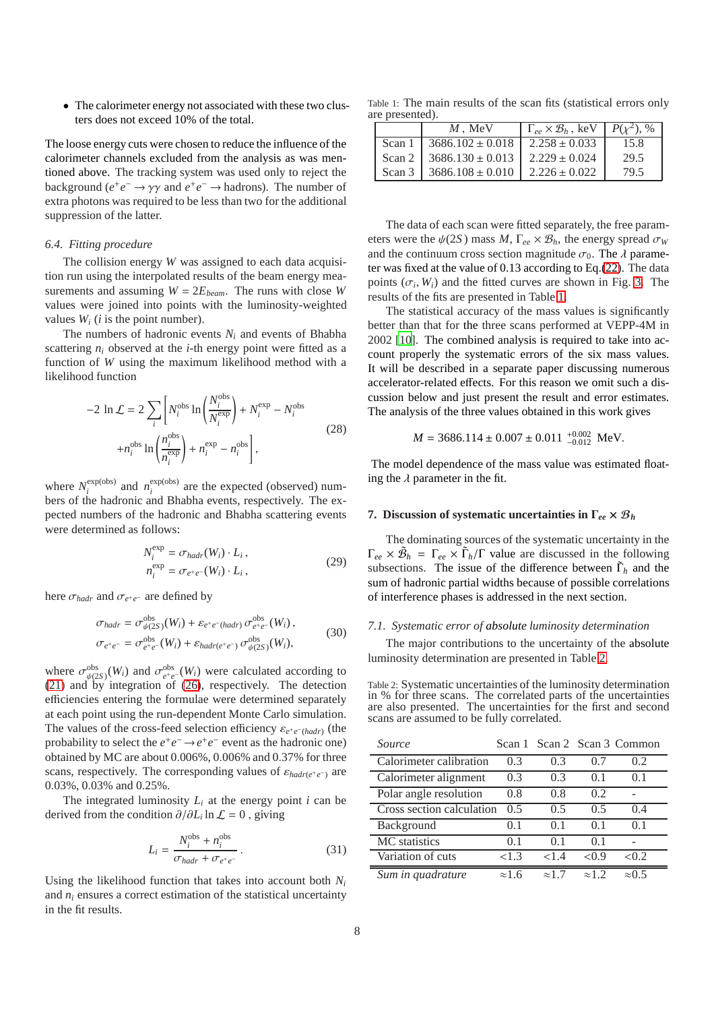• The calorimeter energy not associated with these two clusters does not exceed 10% of the total.

The loose energy cuts were chosen to reduce the influence of the calorimeter channels excluded from the analysis as was mentioned above. The tracking system was used only to reject the background  $(e^+e^- \to \gamma\gamma$  and  $e^+e^- \to \text{hadrons}$ ). The number of extra photons was required to be less than two for the additional suppression of the latter.

#### <span id="page-7-2"></span>*6.4. Fitting procedure*

The collision energy *W* was assigned to each data acquisition run using the interpolated results of the beam energy measurements and assuming  $W = 2E_{beam}$ . The runs with close *W* values were joined into points with the luminosity-weighted values  $W_i$  (*i* is the point number).

The numbers of hadronic events  $N_i$  and events of Bhabha scattering  $n_i$  observed at the *i*-th energy point were fitted as a function of *W* using the maximum likelihood method with a likelihood function

$$
-2 \ln \mathcal{L} = 2 \sum_{i} \left[ N_i^{\text{obs}} \ln \left( \frac{N_i^{\text{obs}}}{N_i^{\text{exp}}} \right) + N_i^{\text{exp}} - N_i^{\text{obs}} \right]
$$
  
+
$$
n_i^{\text{obs}} \ln \left( \frac{n_i^{\text{obs}}}{n_i^{\text{exp}}} \right) + n_i^{\text{exp}} - n_i^{\text{obs}} \right],
$$
(28)

where  $N_i^{\text{exp(obs)}}$  $e^{exp(obs)}$  and  $n_i^{exp(obs)}$  $\frac{\exp(0.05)}{i}$  are the expected (observed) numbers of the hadronic and Bhabha events, respectively. The expected numbers of the hadronic and Bhabha scattering events were determined as follows:

$$
N_i^{\exp} = \sigma_{hadr}(W_i) \cdot L_i, n_i^{\exp} = \sigma_{e^+e^-}(W_i) \cdot L_i,
$$
\n(29)

here  $\sigma_{\text{hadr}}$  and  $\sigma_{e^+e^-}$  are defined by

$$
\sigma_{hadr} = \sigma_{\psi(2S)}^{\text{obs}}(W_i) + \varepsilon_{e^+e^-(hadr)} \sigma_{e^+e^-}^{\text{obs}}(W_i),
$$
  
\n
$$
\sigma_{e^+e^-} = \sigma_{e^+e^-}^{\text{obs}}(W_i) + \varepsilon_{hadr(e^+e^-)} \sigma_{\psi(2S)}^{\text{obs}}(W_i),
$$
\n(30)

where  $\sigma_{\psi(2S)}^{\text{obs}}(W_i)$  and  $\sigma_{e^+e^-}^{\text{obs}}(W_i)$  were calculated according to [\(21\)](#page-4-2) and by integration of [\(26\)](#page-4-3), respectively. The detection efficiencies entering the formulae were determined separately at each point using the run-dependent Monte Carlo simulation. The values of the cross-feed selection efficiency  $\varepsilon_{e^+e^- (hadr)}$  (the probability to select the  $e^+e^- \rightarrow e^+e^-$  event as the hadronic one) obtained by MC are about 0.006%, 0.006% and 0.37% for three scans, respectively. The corresponding values of  $\varepsilon_{\text{hadr}(e^+e^-)}$  are 0.03%, 0.03% and 0.25%.

The integrated luminosity  $L_i$  at the energy point  $i$  can be derived from the condition  $\partial/\partial L_i \ln \mathcal{L} = 0$ , giving

$$
L_i = \frac{N_i^{\text{obs}} + n_i^{\text{obs}}}{\sigma_{\text{hadr}} + \sigma_{e^+ e^-}}.
$$
 (31)

Using the likelihood function that takes into account both  $N_i$ and  $n_i$  ensures a correct estimation of the statistical uncertainty in the fit results.

Table 1: The main results of the scan fits (statistical errors only are presented).

<span id="page-7-0"></span>

|        | $M$ . MeV            | $\Gamma_{ee} \times \mathcal{B}_h$ , keV | $P(\gamma^2)$ , % |
|--------|----------------------|------------------------------------------|-------------------|
| Scan 1 | $3686.102 \pm 0.018$ | $2.258 \pm 0.033$                        | 15.8              |
| Scan 2 | $3686.130 \pm 0.013$ | $2.229 \pm 0.024$                        | 29.5              |
| Scan 3 | $3686.108 \pm 0.010$ | $2.226 \pm 0.022$                        | 79.5              |

The data of each scan were fitted separately, the free parameters were the  $\psi(2S)$  mass *M*,  $\Gamma_{ee} \times \mathcal{B}_h$ , the energy spread  $\sigma_W$ and the continuum cross section magnitude  $\sigma_0$ . The  $\lambda$  parameter was fixed at the value of 0.13 according to Eq.[\(22\)](#page-4-4). The data points  $(\sigma_i, W_i)$  and the fitted curves are shown in Fig. [3.](#page-6-1) The results of the fits are presented in Table [1.](#page-7-0)

The statistical accuracy of the mass values is significantly better than that for the three scans performed at VEPP-4M in 2002 [\[10\]](#page-12-9). The combined analysis is required to take into account properly the systematic errors of the six mass values. It will be described in a separate paper discussing numerous accelerator-related effects. For this reason we omit such a discussion below and just present the result and error estimates. The analysis of the three values obtained in this work gives

$$
M = 3686.114 \pm 0.007 \pm 0.011^{+0.002}_{-0.012}
$$
 MeV

The model dependence of the mass value was estimated floating the  $\lambda$  parameter in the fit.

#### **7. Discussion of systematic uncertainties in** Γ*ee* × B*<sup>h</sup>*

The dominating sources of the systematic uncertainty in the  $\Gamma_{ee} \times \tilde{\mathcal{B}}_h = \Gamma_{ee} \times \tilde{\Gamma}_h/\Gamma$  value are discussed in the following subsections. The issue of the difference between  $\tilde{\Gamma}_h$  and the sum of hadronic partial widths because of possible correlations of interference phases is addressed in the next section.

#### *7.1. Systematic error of absolute luminosity determination*

The major contributions to the uncertainty of the absolute luminosity determination are presented in Table [2.](#page-7-1)

<span id="page-7-1"></span>Table 2: Systematic uncertainties of the luminosity determination in % for three scans. The correlated parts of the uncertainties are also presented. The uncertainties for the first and second scans are assumed to be fully correlated.

| Source                    |                |                |                | Scan 1 Scan 2 Scan 3 Common |
|---------------------------|----------------|----------------|----------------|-----------------------------|
| Calorimeter calibration   | 0.3            | 0.3            | 0.7            | 0.2                         |
| Calorimeter alignment     | 0.3            | 0.3            | (0.1)          | 0.1                         |
| Polar angle resolution    | 0.8            | 0.8            | 0.2            |                             |
| Cross section calculation | 0.5            | 0.5            | 0.5            | 0.4                         |
| Background                | 0 <sub>1</sub> | () 1           | $()$ 1         | 01                          |
| MC statistics             | 0 <sub>1</sub> | 0 <sub>1</sub> | 0 <sub>1</sub> |                             |
| Variation of cuts         | <1.3           | <1.4           | < 0.9          | < 0.2                       |
| Sum in quadrature         | $\approx$ 1.6  | $\approx 1.7$  | $\approx$ 1 2  | $\approx 0.5$               |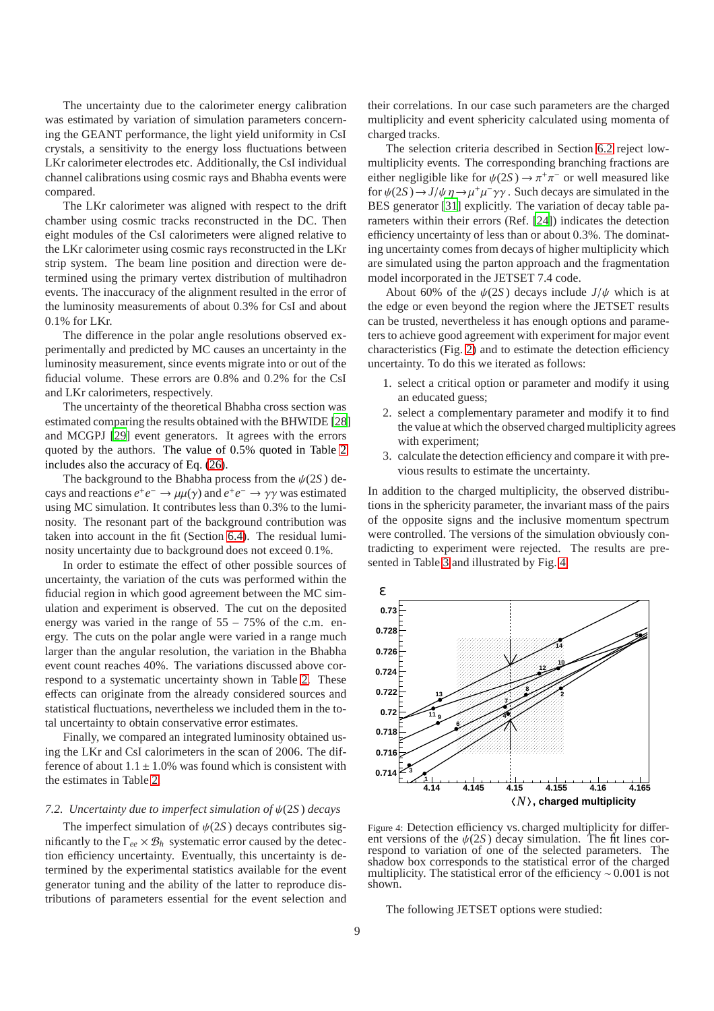The uncertainty due to the calorimeter energy calibration was estimated by variation of simulation parameters concerning the GEANT performance, the light yield uniformity in CsI crystals, a sensitivity to the energy loss fluctuations between LKr calorimeter electrodes etc. Additionally, the CsI individual channel calibrations using cosmic rays and Bhabha events were compared.

The LKr calorimeter was aligned with respect to the drift chamber using cosmic tracks reconstructed in the DC. Then eight modules of the CsI calorimeters were aligned relative to the LKr calorimeter using cosmic rays reconstructed in the LKr strip system. The beam line position and direction were determined using the primary vertex distribution of multihadron events. The inaccuracy of the alignment resulted in the error of the luminosity measurements of about 0.3% for CsI and about 0.1% for LKr.

The difference in the polar angle resolutions observed experimentally and predicted by MC causes an uncertainty in the luminosity measurement, since events migrate into or out of the fiducial volume. These errors are 0.8% and 0.2% for the CsI and LKr calorimeters, respectively.

The uncertainty of the theoretical Bhabha cross section was estimated comparing the results obtained with the BHWIDE [\[28](#page-12-26)] and MCGPJ [\[29](#page-12-27)] event generators. It agrees with the errors quoted by the authors. The value of 0.5% quoted in Table [2](#page-7-1) includes also the accuracy of Eq. [\(26\)](#page-4-3).

The background to the Bhabha process from the  $\psi(2S)$  decays and reactions  $e^+e^- \to \mu\mu(\gamma)$  and  $e^+e^- \to \gamma\gamma$  was estimated using MC simulation. It contributes less than 0.3% to the luminosity. The resonant part of the background contribution was taken into account in the fit (Section [6.4\)](#page-7-2). The residual luminosity uncertainty due to background does not exceed 0.1%.

In order to estimate the effect of other possible sources of uncertainty, the variation of the cuts was performed within the fiducial region in which good agreement between the MC simulation and experiment is observed. The cut on the deposited energy was varied in the range of 55 − 75% of the c.m. energy. The cuts on the polar angle were varied in a range much larger than the angular resolution, the variation in the Bhabha event count reaches 40%. The variations discussed above correspond to a systematic uncertainty shown in Table [2.](#page-7-1) These effects can originate from the already considered sources and statistical fluctuations, nevertheless we included them in the total uncertainty to obtain conservative error estimates.

Finally, we compared an integrated luminosity obtained using the LKr and CsI calorimeters in the scan of 2006. The difference of about  $1.1 \pm 1.0\%$  was found which is consistent with the estimates in Table [2.](#page-7-1)

## <span id="page-8-0"></span>*7.2. Uncertainty due to imperfect simulation of* ψ(2*S* ) *decays*

The imperfect simulation of  $\psi(2S)$  decays contributes significantly to the  $\Gamma_{ee} \times \mathcal{B}_h$  systematic error caused by the detection efficiency uncertainty. Eventually, this uncertainty is determined by the experimental statistics available for the event generator tuning and the ability of the latter to reproduce distributions of parameters essential for the event selection and

their correlations. In our case such parameters are the charged multiplicity and event sphericity calculated using momenta of charged tracks.

The selection criteria described in Section [6.2](#page-5-1) reject lowmultiplicity events. The corresponding branching fractions are either negligible like for  $\psi(2S) \to \pi^+\pi^-$  or well measured like for  $\psi(2S) \rightarrow J/\psi \eta \rightarrow \mu^+ \mu^- \gamma \gamma$ . Such decays are simulated in the BES generator [\[31](#page-13-0)] explicitly. The variation of decay table parameters within their errors (Ref. [\[24](#page-12-23)]) indicates the detection efficiency uncertainty of less than or about 0.3%. The dominating uncertainty comes from decays of higher multiplicity which are simulated using the parton approach and the fragmentation model incorporated in the JETSET 7.4 code.

About 60% of the  $\psi(2S)$  decays include  $J/\psi$  which is at the edge or even beyond the region where the JETSET results can be trusted, nevertheless it has enough options and parameters to achieve good agreement with experiment for major event characteristics (Fig. [2\)](#page-5-0) and to estimate the detection efficiency uncertainty. To do this we iterated as follows:

- 1. select a critical option or parameter and modify it using an educated guess;
- 2. select a complementary parameter and modify it to find the value at which the observed charged multiplicity agrees with experiment;
- 3. calculate the detection efficiency and compare it with previous results to estimate the uncertainty.

In addition to the charged multiplicity, the observed distributions in the sphericity parameter, the invariant mass of the pairs of the opposite signs and the inclusive momentum spectrum were controlled. The versions of the simulation obviously contradicting to experiment were rejected. The results are presented in Table [3](#page-9-0) and illustrated by Fig. [4.](#page-8-1)



<span id="page-8-1"></span>Figure 4: Detection efficiency vs. charged multiplicity for different versions of the  $\psi(2S)$  decay simulation. The fit lines correspond to variation of one of the selected parameters. The shadow box corresponds to the statistical error of the charged multiplicity. The statistical error of the efficiency ∼ 0.001 is not shown.

The following JETSET options were studied: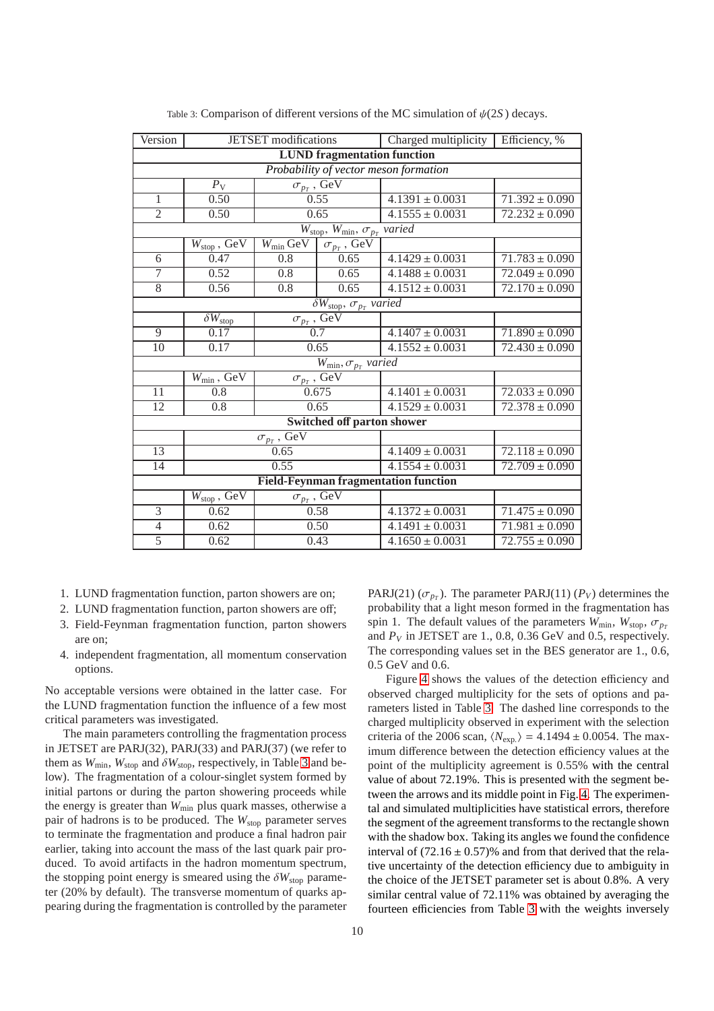| Version                                                                 |                                  | <b>JETSET</b> modifications |                      | Charged multiplicity   Efficiency, % |                               |  |
|-------------------------------------------------------------------------|----------------------------------|-----------------------------|----------------------|--------------------------------------|-------------------------------|--|
| <b>LUND</b> fragmentation function                                      |                                  |                             |                      |                                      |                               |  |
| Probability of vector meson formation                                   |                                  |                             |                      |                                      |                               |  |
|                                                                         | $P_{\rm V}$                      |                             | $\sigma_{p_T}$ , GeV |                                      |                               |  |
| $\mathbf{1}$                                                            | 0.50                             |                             | 0.55                 | $4.1391 \pm 0.0031$                  | $71.392 \pm 0.090$            |  |
| $\overline{2}$                                                          | 0.50                             |                             | 0.65                 | $4.1555 \pm 0.0031$                  | $72.232 \pm 0.090$            |  |
| $W_{\text{stop}}$ , $W_{\text{min}}$ , $\overline{\sigma_{p_T}}$ varied |                                  |                             |                      |                                      |                               |  |
|                                                                         | $W_{\text{stop}}$ , GeV          | $W_{\text{min}}$ GeV        | $\sigma_{p_T}$ , GeV |                                      |                               |  |
| 6                                                                       | 0.47                             | 0.8                         | 0.65                 | $4.1429 \pm 0.0031$                  | $\overline{71.783} \pm 0.090$ |  |
| 7                                                                       | 0.52                             | 0.8                         | 0.65                 | $4.1488 \pm 0.0031$                  | $72.049 \pm 0.090$            |  |
| $\overline{8}$                                                          | 0.56                             | $\overline{0.8}$            | 0.65                 | $4.1512 \pm 0.0031$                  | $72.170 \pm 0.090$            |  |
| $\delta W_{\rm stop}, \sigma_{p_T}$ varied                              |                                  |                             |                      |                                      |                               |  |
|                                                                         | $\overline{\delta W}_{\rm stop}$ | $\sigma_{p_T}$ , GeV        |                      |                                      |                               |  |
| 9                                                                       | 0.17                             | 0.7                         |                      | $4.1407 \pm 0.0031$                  | $71.890 \pm 0.090$            |  |
| 10                                                                      | 0.17                             | 0.65                        |                      | $4.1552 \pm 0.0031$                  | $72.430 \pm 0.090$            |  |
| $W_{\min}, \sigma_{p_T}$ varied                                         |                                  |                             |                      |                                      |                               |  |
| $\sigma_{p_T}$ , GeV<br>$W_{\rm min}$ , GeV                             |                                  |                             |                      |                                      |                               |  |
| 11                                                                      | $\overline{0.8}$                 | 0.675                       |                      | $4.1401 \pm 0.0031$                  | $72.033 \pm 0.090$            |  |
| 12                                                                      | $\overline{0.8}$                 | 0.65                        |                      | $4.1529 \pm 0.0031$                  | $72.378 \pm 0.090$            |  |
| Switched off parton shower                                              |                                  |                             |                      |                                      |                               |  |
| $\sigma_{p_T}$ , GeV                                                    |                                  |                             |                      |                                      |                               |  |
| 13                                                                      | 0.65                             |                             | $4.1409 \pm 0.0031$  | $72.118 \pm 0.090$                   |                               |  |
| 14                                                                      | 0.55                             |                             | $4.1554 \pm 0.0031$  |                                      | $72.709 \pm 0.090$            |  |
| <b>Field-Feynman fragmentation function</b>                             |                                  |                             |                      |                                      |                               |  |
|                                                                         | $W_{\rm stop}$ , GeV             |                             | $\sigma_{p_T}$ , GeV |                                      |                               |  |
| $\overline{3}$                                                          | 0.62                             | 0.58                        |                      | $4.1372 \pm 0.0031$                  | $71.475 \pm 0.090$            |  |
| $\overline{4}$                                                          | 0.62                             | 0.50                        |                      | $4.1491 \pm 0.0031$                  | $71.981 \pm 0.090$            |  |
| $\overline{5}$                                                          | 0.62                             | 0.43                        |                      | $4.1650 \pm 0.0031$                  | $72.755 \pm 0.090$            |  |

<span id="page-9-0"></span>Table 3: Comparison of different versions of the MC simulation of  $\psi(2S)$  decays.

- 1. LUND fragmentation function, parton showers are on;
- 2. LUND fragmentation function, parton showers are off;
- 3. Field-Feynman fragmentation function, parton showers are on;
- 4. independent fragmentation, all momentum conservation options.

No acceptable versions were obtained in the latter case. For the LUND fragmentation function the influence of a few most critical parameters was investigated.

The main parameters controlling the fragmentation process in JETSET are PARJ(32), PARJ(33) and PARJ(37) (we refer to them as  $W_{\text{min}}$ ,  $W_{\text{stop}}$  and  $\delta W_{\text{stop}}$ , respectively, in Table [3](#page-9-0) and below). The fragmentation of a colour-singlet system formed by initial partons or during the parton showering proceeds while the energy is greater than *W*min plus quark masses, otherwise a pair of hadrons is to be produced. The *W*<sub>stop</sub> parameter serves to terminate the fragmentation and produce a final hadron pair earlier, taking into account the mass of the last quark pair produced. To avoid artifacts in the hadron momentum spectrum, the stopping point energy is smeared using the  $\delta W_{\text{stop}}$  parameter (20% by default). The transverse momentum of quarks appearing during the fragmentation is controlled by the parameter

PARJ(21) ( $\sigma_{p}$ ). The parameter PARJ(11) ( $P_V$ ) determines the probability that a light meson formed in the fragmentation has spin 1. The default values of the parameters  $W_{\text{min}}$ ,  $W_{\text{stop}}$ ,  $\sigma_{p_T}$ and  $P_V$  in JETSET are 1., 0.8, 0.36 GeV and 0.5, respectively. The corresponding values set in the BES generator are 1., 0.6, 0.5 GeV and 0.6.

Figure [4](#page-8-1) shows the values of the detection efficiency and observed charged multiplicity for the sets of options and parameters listed in Table [3.](#page-9-0) The dashed line corresponds to the charged multiplicity observed in experiment with the selection criteria of the 2006 scan,  $\langle N_{\text{exp.}} \rangle = 4.1494 \pm 0.0054$ . The maximum difference between the detection efficiency values at the point of the multiplicity agreement is 0.55% with the central value of about 72.19%. This is presented with the segment between the arrows and its middle point in Fig. [4.](#page-8-1) The experimental and simulated multiplicities have statistical errors, therefore the segment of the agreement transforms to the rectangle shown with the shadow box. Taking its angles we found the confidence interval of  $(72.16 \pm 0.57)\%$  and from that derived that the relative uncertainty of the detection efficiency due to ambiguity in the choice of the JETSET parameter set is about 0.8%. A very similar central value of 72.11% was obtained by averaging the fourteen efficiencies from Table [3](#page-9-0) with the weights inversely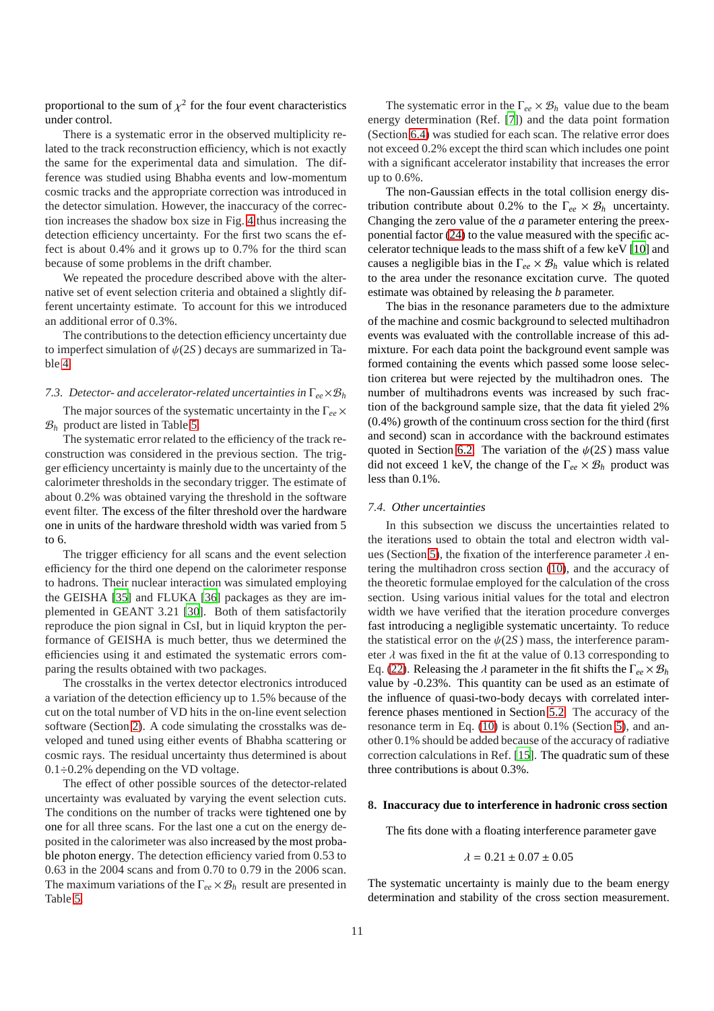proportional to the sum of  $\chi^2$  for the four event characteristics under control.

There is a systematic error in the observed multiplicity related to the track reconstruction efficiency, which is not exactly the same for the experimental data and simulation. The difference was studied using Bhabha events and low-momentum cosmic tracks and the appropriate correction was introduced in the detector simulation. However, the inaccuracy of the correction increases the shadow box size in Fig. [4](#page-8-1) thus increasing the detection efficiency uncertainty. For the first two scans the effect is about 0.4% and it grows up to 0.7% for the third scan because of some problems in the drift chamber.

We repeated the procedure described above with the alternative set of event selection criteria and obtained a slightly different uncertainty estimate. To account for this we introduced an additional error of 0.3%.

The contributions to the detection efficiency uncertainty due to imperfect simulation of  $\psi(2S)$  decays are summarized in Table [4.](#page-11-0)

#### <span id="page-10-2"></span>*7.3. Detector- and accelerator-related uncertainties in* Γ*ee*×B*<sup>h</sup>*

The major sources of the systematic uncertainty in the Γ*ee* ×  $\mathcal{B}_h$  product are listed in Table [5.](#page-11-1)

The systematic error related to the efficiency of the track reconstruction was considered in the previous section. The trigger efficiency uncertainty is mainly due to the uncertainty of the calorimeter thresholds in the secondary trigger. The estimate of about 0.2% was obtained varying the threshold in the software event filter. The excess of the filter threshold over the hardware one in units of the hardware threshold width was varied from 5 to 6.

The trigger efficiency for all scans and the event selection efficiency for the third one depend on the calorimeter response to hadrons. Their nuclear interaction was simulated employing the GEISHA [\[35\]](#page-13-3) and FLUKA [\[36\]](#page-13-4) packages as they are implemented in GEANT 3.21 [\[30](#page-12-28)]. Both of them satisfactorily reproduce the pion signal in CsI, but in liquid krypton the performance of GEISHA is much better, thus we determined the efficiencies using it and estimated the systematic errors comparing the results obtained with two packages.

The crosstalks in the vertex detector electronics introduced a variation of the detection efficiency up to 1.5% because of the cut on the total number of VD hits in the on-line event selection software (Section [2\)](#page-1-3). A code simulating the crosstalks was developed and tuned using either events of Bhabha scattering or cosmic rays. The residual uncertainty thus determined is about  $0.1\div0.2\%$  depending on the VD voltage.

The effect of other possible sources of the detector-related uncertainty was evaluated by varying the event selection cuts. The conditions on the number of tracks were tightened one by one for all three scans. For the last one a cut on the energy deposited in the calorimeter was also increased by the most probable photon energy. The detection efficiency varied from 0.53 to 0.63 in the 2004 scans and from 0.70 to 0.79 in the 2006 scan. The maximum variations of the Γ*ee* × B*<sup>h</sup>* result are presented in Table [5.](#page-11-1)

The systematic error in the  $\Gamma_{ee} \times \mathcal{B}_h$  value due to the beam energy determination (Ref. [\[7\]](#page-12-6)) and the data point formation (Section [6.4\)](#page-7-2) was studied for each scan. The relative error does not exceed 0.2% except the third scan which includes one point with a significant accelerator instability that increases the error up to 0.6%.

The non-Gaussian effects in the total collision energy distribution contribute about 0.2% to the  $\Gamma_{ee} \times \mathcal{B}_h$  uncertainty. Changing the zero value of the *a* parameter entering the preexponential factor [\(24\)](#page-4-5) to the value measured with the specific accelerator technique leads to the mass shift of a few keV [\[10\]](#page-12-9) and causes a negligible bias in the  $\Gamma_{ee} \times \mathcal{B}_h$  value which is related to the area under the resonance excitation curve. The quoted estimate was obtained by releasing the *b* parameter.

The bias in the resonance parameters due to the admixture of the machine and cosmic background to selected multihadron events was evaluated with the controllable increase of this admixture. For each data point the background event sample was formed containing the events which passed some loose selection criterea but were rejected by the multihadron ones. The number of multihadrons events was increased by such fraction of the background sample size, that the data fit yieled 2% (0.4%) growth of the continuum cross section for the third (first and second) scan in accordance with the backround estimates quoted in Section [6.2.](#page-5-1) The variation of the  $\psi(2S)$  mass value did not exceed 1 keV, the change of the  $\Gamma_{ee} \times \mathcal{B}_h$  product was less than 0.1%.

#### <span id="page-10-0"></span>*7.4. Other uncertainties*

In this subsection we discuss the uncertainties related to the iterations used to obtain the total and electron width val-ues (Section [5\)](#page-2-5), the fixation of the interference parameter  $\lambda$  entering the multihadron cross section [\(10\)](#page-3-0), and the accuracy of the theoretic formulae employed for the calculation of the cross section. Using various initial values for the total and electron width we have verified that the iteration procedure converges fast introducing a negligible systematic uncertainty. To reduce the statistical error on the  $\psi(2S)$  mass, the interference parameter  $\lambda$  was fixed in the fit at the value of 0.13 corresponding to Eq. [\(22\)](#page-4-4). Releasing the λ parameter in the fit shifts the Γ*ee* × B*<sup>h</sup>* value by -0.23%. This quantity can be used as an estimate of the influence of quasi-two-body decays with correlated interference phases mentioned in Section [5.2.](#page-3-6) The accuracy of the resonance term in Eq. [\(10\)](#page-3-0) is about 0.1% (Section [5\)](#page-2-5), and another 0.1% should be added because of the accuracy of radiative correction calculations in Ref. [\[15\]](#page-12-14). The quadratic sum of these three contributions is about 0.3%.

#### <span id="page-10-1"></span>**8. Inaccuracy due to interference in hadronic cross section**

The fits done with a floating interference parameter gave

$$
\lambda = 0.21 \pm 0.07 \pm 0.05
$$

The systematic uncertainty is mainly due to the beam energy determination and stability of the cross section measurement.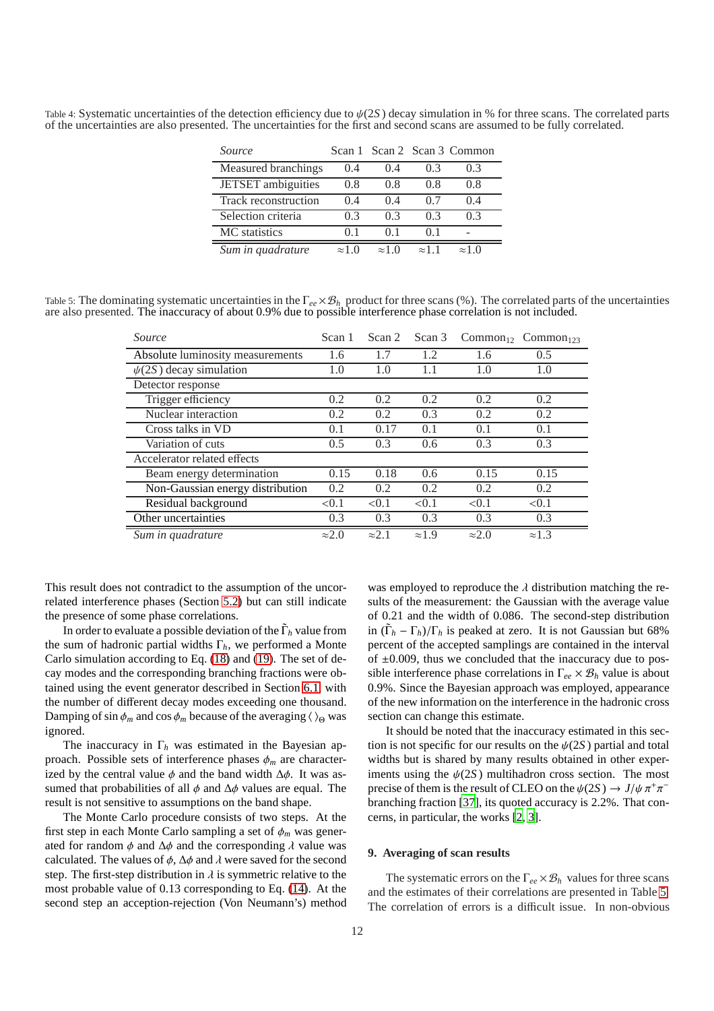<span id="page-11-0"></span>Table 4: Systematic uncertainties of the detection efficiency due to ψ(2*S* ) decay simulation in % for three scans. The correlated parts of the uncertainties are also presented. The uncertainties for the first and second scans are assumed to be fully correlated.

| <i>Source</i>        |               |               |               | Scan 1 Scan 2 Scan 3 Common |
|----------------------|---------------|---------------|---------------|-----------------------------|
| Measured branchings  | (0.4)         | (0.4)         | 0.3           | 0.3                         |
| JETSET ambiguities   | 0.8           | 0.8           | 0.8           | 0.8                         |
| Track reconstruction | (14)          | (14)          | 07            | (1.4)                       |
| Selection criteria   | 03            | 03            | 03            | 03                          |
| MC statistics        | () 1          | () 1          | () 1          |                             |
| Sum in quadrature    | $\approx 1.0$ | $\approx 1.0$ | $\approx$ 1 1 | $\approx 1.0$               |

<span id="page-11-1"></span>Table 5: The dominating systematic uncertainties in the Γ*ee*×B*<sup>h</sup>* product for three scans (%). The correlated parts of the uncertainties are also presented. The inaccuracy of about 0.9% due to possible interference phase correlation is not included.

| Source                           | Scan 1        | Scan 2        | Scan 3        |               | $Common_{12}$ Common <sub>123</sub> |
|----------------------------------|---------------|---------------|---------------|---------------|-------------------------------------|
| Absolute luminosity measurements | 1.6           | 1.7           | 1.2           | 1.6           | 0.5                                 |
| $\psi(2S)$ decay simulation      | 1.0           | 1.0           | 1.1           | 1.0           | 1.0                                 |
| Detector response                |               |               |               |               |                                     |
| Trigger efficiency               | 0.2           | 0.2           | 0.2           | 0.2           | 0.2                                 |
| Nuclear interaction              | 0.2           | 0.2           | 0.3           | 0.2           | 0.2                                 |
| Cross talks in VD                | 0.1           | 0.17          | 0.1           | 0.1           | 0.1                                 |
| Variation of cuts                | 0.5           | 0.3           | $0.6^{\circ}$ | 0.3           | 0.3                                 |
| Accelerator related effects      |               |               |               |               |                                     |
| Beam energy determination        | 0.15          | 0.18          | 0.6           | 0.15          | 0.15                                |
| Non-Gaussian energy distribution | 0.2           | 0.2           | 0.2           | 0.2           | 0.2                                 |
| Residual background              | < 0.1         | < 0.1         | < 0.1         | < 0.1         | < 0.1                               |
| Other uncertainties              | 0.3           | 0.3           | 0.3           | 0.3           | 0.3                                 |
| Sum in quadrature                | $\approx 2.0$ | $\approx$ 2.1 | $\approx 1.9$ | $\approx 2.0$ | $\approx 1.3$                       |

This result does not contradict to the assumption of the uncorrelated interference phases (Section [5.2\)](#page-3-6) but can still indicate the presence of some phase correlations.

In order to evaluate a possible deviation of the Γ˜ *<sup>h</sup>* value from the sum of hadronic partial widths  $\Gamma_h$ , we performed a Monte Carlo simulation according to Eq. [\(18\)](#page-3-2) and [\(19\)](#page-3-3). The set of decay modes and the corresponding branching fractions were obtained using the event generator described in Section [6.1,](#page-5-2) with the number of different decay modes exceeding one thousand. Damping of sin  $\phi_m$  and cos  $\phi_m$  because of the averaging  $\langle \rangle_{\Theta}$  was ignored.

The inaccuracy in Γ*<sup>h</sup>* was estimated in the Bayesian approach. Possible sets of interference phases  $\phi_m$  are characterized by the central value  $\phi$  and the band width  $\Delta \phi$ . It was assumed that probabilities of all  $\phi$  and  $\Delta\phi$  values are equal. The result is not sensitive to assumptions on the band shape.

The Monte Carlo procedure consists of two steps. At the first step in each Monte Carlo sampling a set of φ*<sup>m</sup>* was generated for random  $\phi$  and  $\Delta\phi$  and the corresponding  $\lambda$  value was calculated. The values of  $\phi$ ,  $\Delta\phi$  and  $\lambda$  were saved for the second step. The first-step distribution in  $\lambda$  is symmetric relative to the most probable value of 0.13 corresponding to Eq. [\(14\)](#page-3-7). At the second step an acception-rejection (Von Neumann's) method was employed to reproduce the  $\lambda$  distribution matching the results of the measurement: the Gaussian with the average value of 0.21 and the width of 0.086. The second-step distribution in  $(\tilde{\Gamma}_h - \Gamma_h)/\Gamma_h$  is peaked at zero. It is not Gaussian but 68% percent of the accepted samplings are contained in the interval of  $\pm 0.009$ , thus we concluded that the inaccuracy due to possible interference phase correlations in  $\Gamma_{ee} \times \mathcal{B}_h$  value is about 0.9%. Since the Bayesian approach was employed, appearance of the new information on the interference in the hadronic cross section can change this estimate.

It should be noted that the inaccuracy estimated in this section is not specific for our results on the  $\psi(2S)$  partial and total widths but is shared by many results obtained in other experiments using the  $\psi(2S)$  multihadron cross section. The most precise of them is the result of CLEO on the  $\psi(2S) \to J/\psi \pi^+ \pi^$ branching fraction [\[37\]](#page-13-5), its quoted accuracy is 2.2%. That concerns, in particular, the works [\[2](#page-12-1), [3](#page-12-2)].

#### **9. Averaging of scan results**

The systematic errors on the  $\Gamma_{ee} \times \mathcal{B}_h$  values for three scans and the estimates of their correlations are presented in Table [5.](#page-11-1) The correlation of errors is a difficult issue. In non-obvious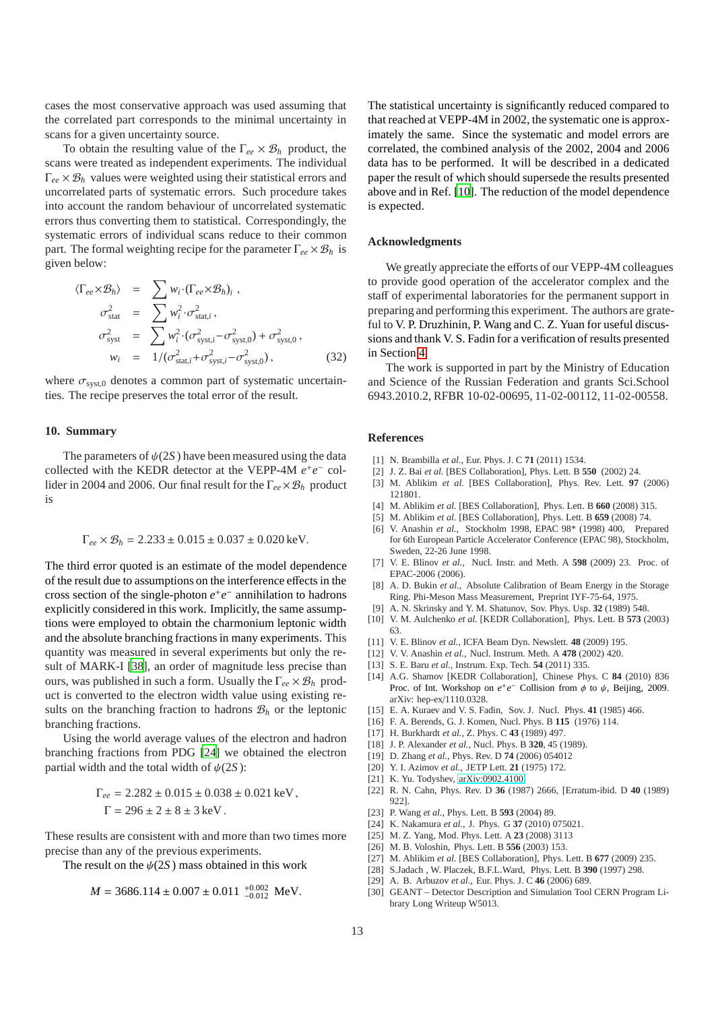cases the most conservative approach was used assuming that the correlated part corresponds to the minimal uncertainty in scans for a given uncertainty source.

To obtain the resulting value of the  $\Gamma_{ee} \times \mathcal{B}_h$  product, the scans were treated as independent experiments. The individual  $\Gamma_{ee} \times \mathcal{B}_h$  values were weighted using their statistical errors and uncorrelated parts of systematic errors. Such procedure takes into account the random behaviour of uncorrelated systematic errors thus converting them to statistical. Correspondingly, the systematic errors of individual scans reduce to their common part. The formal weighting recipe for the parameter  $\Gamma_{ee} \times \mathcal{B}_h$  is given below:

$$
\langle \Gamma_{ee} \times \mathcal{B}_h \rangle = \sum w_i \cdot (\Gamma_{ee} \times \mathcal{B}_h)_i ,
$$
  
\n
$$
\sigma_{\text{stat}}^2 = \sum w_i^2 \cdot \sigma_{\text{stat},i}^2 ,
$$
  
\n
$$
\sigma_{\text{syst}}^2 = \sum w_i^2 \cdot (\sigma_{\text{syst},i}^2 - \sigma_{\text{syst},0}^2) + \sigma_{\text{syst},0}^2 ,
$$
  
\n
$$
w_i = 1/(\sigma_{\text{stat},i}^2 + \sigma_{\text{syst},i}^2 - \sigma_{\text{syst},0}^2),
$$
 (32)

where  $\sigma_{syst,0}$  denotes a common part of systematic uncertainties. The recipe preserves the total error of the result.

#### **10. Summary**

The parameters of  $\psi(2S)$  have been measured using the data collected with the KEDR detector at the VEPP-4M  $e^+e^-$  collider in 2004 and 2006. Our final result for the  $\Gamma_{ee} \times \mathcal{B}_h$  product is

$$
\Gamma_{ee} \times \mathcal{B}_h = 2.233 \pm 0.015 \pm 0.037 \pm 0.020 \,\text{keV}.
$$

The third error quoted is an estimate of the model dependence of the result due to assumptions on the interference effects in the cross section of the single-photon  $e^+e^-$  annihilation to hadrons explicitly considered in this work. Implicitly, the same assumptions were employed to obtain the charmonium leptonic width and the absolute branching fractions in many experiments. This quantity was measured in several experiments but only the result of MARK-I [\[38\]](#page-13-6), an order of magnitude less precise than ours, was published in such a form. Usually the Γ*ee* × B*<sup>h</sup>* product is converted to the electron width value using existing results on the branching fraction to hadrons  $\mathcal{B}_h$  or the leptonic branching fractions.

Using the world average values of the electron and hadron branching fractions from PDG [\[24\]](#page-12-23) we obtained the electron partial width and the total width of  $\psi(2S)$ :

$$
\Gamma_{ee} = 2.282 \pm 0.015 \pm 0.038 \pm 0.021 \text{ keV},
$$
  
 
$$
\Gamma = 296 \pm 2 \pm 8 \pm 3 \text{ keV}.
$$

These results are consistent with and more than two times more precise than any of the previous experiments.

The result on the  $\psi(2S)$  mass obtained in this work

$$
M = 3686.114 \pm 0.007 \pm 0.011^{+0.002}_{-0.012}
$$
 MeV.

The statistical uncertainty is significantly reduced compared to that reached at VEPP-4M in 2002, the systematic one is approximately the same. Since the systematic and model errors are correlated, the combined analysis of the 2002, 2004 and 2006 data has to be performed. It will be described in a dedicated paper the result of which should supersede the results presented above and in Ref. [\[10\]](#page-12-9). The reduction of the model dependence is expected.

### **Acknowledgments**

We greatly appreciate the efforts of our VEPP-4M colleagues to provide good operation of the accelerator complex and the staff of experimental laboratories for the permanent support in preparing and performing this experiment. The authors are grateful to V. P. Druzhinin, P. Wang and C. Z. Yuan for useful discussions and thank V. S. Fadin for a verification of results presented in Section [4.](#page-1-4)

The work is supported in part by the Ministry of Education and Science of the Russian Federation and grants Sci.School 6943.2010.2, RFBR 10-02-00695, 11-02-00112, 11-02-00558.

#### **References**

- <span id="page-12-0"></span>[1] N. Brambilla *et al.*, Eur. Phys. J. C **71** (2011) 1534.
- <span id="page-12-1"></span>[2] J. Z. Bai *et al.* [BES Collaboration], Phys. Lett. B **550** (2002) 24.
- <span id="page-12-2"></span>[3] M. Ablikim *et al.* [BES Collaboration], Phys. Rev. Lett. **97** (2006) 121801.
- <span id="page-12-3"></span>[4] M. Ablikim *et al.* [BES Collaboration], Phys. Lett. B **660** (2008) 315.
- <span id="page-12-4"></span>[5] M. Ablikim *et al.* [BES Collaboration], Phys. Lett. B **659** (2008) 74.
- <span id="page-12-5"></span>[6] V. Anashin *et al.*, Stockholm 1998, EPAC 98\* (1998) 400, Prepared for 6th European Particle Accelerator Conference (EPAC 98), Stockholm, Sweden, 22-26 June 1998.
- <span id="page-12-6"></span>[7] V. E. Blinov *et al.*, Nucl. Instr. and Meth. A **598** (2009) 23. Proc. of EPAC-2006 (2006).
- <span id="page-12-7"></span>[8] A. D. Bukin *et al.*, Absolute Calibration of Beam Energy in the Storage Ring. Phi-Meson Mass Measurement, Preprint IYF-75-64, 1975.
- <span id="page-12-8"></span>[9] A. N. Skrinsky and Y. M. Shatunov, Sov. Phys. Usp. **32** (1989) 548.
- <span id="page-12-9"></span>[10] V. M. Aulchenko *et al.* [KEDR Collaboration], Phys. Lett. B **573** (2003) 63.
- <span id="page-12-10"></span>[11] V. E. Blinov *et al.*, ICFA Beam Dyn. Newslett. **48** (2009) 195.
- <span id="page-12-11"></span>[12] V. V. Anashin *et al.*, Nucl. Instrum. Meth. A **478** (2002) 420.
- <span id="page-12-12"></span>[13] S. E. Baru *et al.*, Instrum. Exp. Tech. **54** (2011) 335.
- <span id="page-12-13"></span>[14] A.G. Shamov [KEDR Collaboration], Chinese Phys. C **84** (2010) 836 Proc. of Int. Workshop on  $e^+e^-$  Collision from  $\phi$  to  $\psi$ , Beijing, 2009. arXiv: hep-ex/1110.0328.
- <span id="page-12-14"></span>[15] E. A. Kuraev and V. S. Fadin, Sov. J. Nucl. Phys. **41** (1985) 466.
- <span id="page-12-15"></span>[16] F. A. Berends, G. J. Komen, Nucl. Phys. B **115** (1976) 114.
- <span id="page-12-16"></span>[17] H. Burkhardt *et al.*, Z. Phys. C **43** (1989) 497.
- <span id="page-12-17"></span>[18] J. P. Alexander *et al.*, Nucl. Phys. B **320**, 45 (1989).
- <span id="page-12-18"></span>[19] D. Zhang *et al.*, Phys. Rev. D **74** (2006) 054012
- <span id="page-12-19"></span>[20] Y. I. Azimov *et al.*, JETP Lett. **21** (1975) 172.
- <span id="page-12-20"></span>[21] K. Yu. Todyshev, [arXiv:0902.4100.](http://arxiv.org/abs/0902.4100)
- <span id="page-12-21"></span>[22] R. N. Cahn, Phys. Rev. D **36** (1987) 2666, [Erratum-ibid. D **40** (1989) 922].
- <span id="page-12-22"></span>[23] P. Wang *et al.*, Phys. Lett. B **593** (2004) 89.
- <span id="page-12-23"></span>[24] K. Nakamura *et al.*, J. Phys. G **37** (2010) 075021.
- <span id="page-12-24"></span>[25] M. Z. Yang, Mod. Phys. Lett. A **23** (2008) 3113
- <span id="page-12-25"></span>[26] M. B. Voloshin, Phys. Lett. B **556** (2003) 153.
- <span id="page-12-29"></span>[27] M. Ablikim *et al.* [BES Collaboration], Phys. Lett. B **677** (2009) 235.
- <span id="page-12-26"></span>[28] S.Jadach , W. Placzek, B.F.L.Ward, Phys. Lett. B **390** (1997) 298.
- <span id="page-12-27"></span>[29] A. B. Arbuzov *et al.*, Eur. Phys. J. C **46** (2006) 689.
- <span id="page-12-28"></span>[30] GEANT – Detector Description and Simulation Tool CERN Program Library Long Writeup W5013.